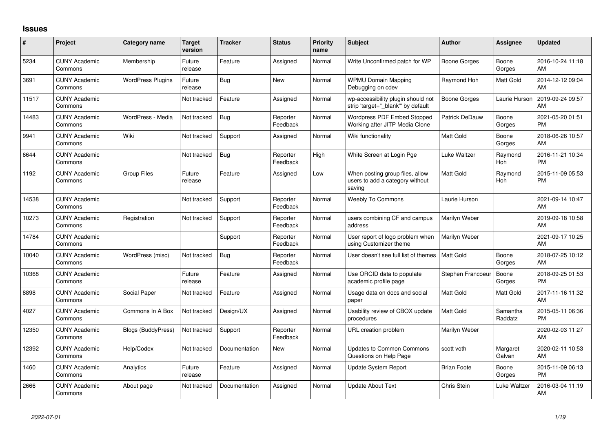## **Issues**

| #     | Project                         | <b>Category name</b>      | Target<br>version | <b>Tracker</b> | <b>Status</b>        | <b>Priority</b><br>name | <b>Subject</b>                                                               | <b>Author</b>      | Assignee            | <b>Updated</b>                |
|-------|---------------------------------|---------------------------|-------------------|----------------|----------------------|-------------------------|------------------------------------------------------------------------------|--------------------|---------------------|-------------------------------|
| 5234  | <b>CUNY Academic</b><br>Commons | Membership                | Future<br>release | Feature        | Assigned             | Normal                  | Write Unconfirmed patch for WP                                               | Boone Gorges       | Boone<br>Gorges     | 2016-10-24 11:18<br>AM        |
| 3691  | <b>CUNY Academic</b><br>Commons | <b>WordPress Plugins</b>  | Future<br>release | Bug            | New                  | Normal                  | <b>WPMU Domain Mapping</b><br>Debugging on cdev                              | Raymond Hoh        | Matt Gold           | 2014-12-12 09:04<br>AM        |
| 11517 | <b>CUNY Academic</b><br>Commons |                           | Not tracked       | Feature        | Assigned             | Normal                  | wp-accessibility plugin should not<br>strip 'target=" blank" by default      | Boone Gorges       | Laurie Hurson       | 2019-09-24 09:57<br>AM        |
| 14483 | <b>CUNY Academic</b><br>Commons | WordPress - Media         | Not tracked       | Bug            | Reporter<br>Feedback | Normal                  | Wordpress PDF Embed Stopped<br>Working after JITP Media Clone                | Patrick DeDauw     | Boone<br>Gorges     | 2021-05-20 01:51<br><b>PM</b> |
| 9941  | <b>CUNY Academic</b><br>Commons | Wiki                      | Not tracked       | Support        | Assigned             | Normal                  | Wiki functionality                                                           | <b>Matt Gold</b>   | Boone<br>Gorges     | 2018-06-26 10:57<br>AM        |
| 6644  | <b>CUNY Academic</b><br>Commons |                           | Not tracked       | Bug            | Reporter<br>Feedback | High                    | White Screen at Login Pge                                                    | Luke Waltzer       | Raymond<br>Hoh      | 2016-11-21 10:34<br><b>PM</b> |
| 1192  | <b>CUNY Academic</b><br>Commons | <b>Group Files</b>        | Future<br>release | Feature        | Assigned             | Low                     | When posting group files, allow<br>users to add a category without<br>saving | <b>Matt Gold</b>   | Raymond<br>Hoh      | 2015-11-09 05:53<br><b>PM</b> |
| 14538 | <b>CUNY Academic</b><br>Commons |                           | Not tracked       | Support        | Reporter<br>Feedback | Normal                  | <b>Weebly To Commons</b>                                                     | Laurie Hurson      |                     | 2021-09-14 10:47<br>AM        |
| 10273 | <b>CUNY Academic</b><br>Commons | Registration              | Not tracked       | Support        | Reporter<br>Feedback | Normal                  | users combining CF and campus<br>address                                     | Marilyn Weber      |                     | 2019-09-18 10:58<br>AM        |
| 14784 | <b>CUNY Academic</b><br>Commons |                           |                   | Support        | Reporter<br>Feedback | Normal                  | User report of logo problem when<br>using Customizer theme                   | Marilyn Weber      |                     | 2021-09-17 10:25<br>AM        |
| 10040 | <b>CUNY Academic</b><br>Commons | WordPress (misc)          | Not tracked       | Bug            | Reporter<br>Feedback | Normal                  | User doesn't see full list of themes                                         | <b>Matt Gold</b>   | Boone<br>Gorges     | 2018-07-25 10:12<br>AM        |
| 10368 | <b>CUNY Academic</b><br>Commons |                           | Future<br>release | Feature        | Assigned             | Normal                  | Use ORCID data to populate<br>academic profile page                          | Stephen Francoeu   | Boone<br>Gorges     | 2018-09-25 01:53<br><b>PM</b> |
| 8898  | <b>CUNY Academic</b><br>Commons | Social Paper              | Not tracked       | Feature        | Assigned             | Normal                  | Usage data on docs and social<br>paper                                       | <b>Matt Gold</b>   | Matt Gold           | 2017-11-16 11:32<br>AM        |
| 4027  | <b>CUNY Academic</b><br>Commons | Commons In A Box          | Not tracked       | Design/UX      | Assigned             | Normal                  | Usability review of CBOX update<br>procedures                                | <b>Matt Gold</b>   | Samantha<br>Raddatz | 2015-05-11 06:36<br><b>PM</b> |
| 12350 | <b>CUNY Academic</b><br>Commons | <b>Blogs (BuddyPress)</b> | Not tracked       | Support        | Reporter<br>Feedback | Normal                  | URL creation problem                                                         | Marilyn Weber      |                     | 2020-02-03 11:27<br>AM        |
| 12392 | <b>CUNY Academic</b><br>Commons | Help/Codex                | Not tracked       | Documentation  | New                  | Normal                  | <b>Updates to Common Commons</b><br>Questions on Help Page                   | scott voth         | Margaret<br>Galvan  | 2020-02-11 10:53<br>AM        |
| 1460  | <b>CUNY Academic</b><br>Commons | Analytics                 | Future<br>release | Feature        | Assigned             | Normal                  | Update System Report                                                         | <b>Brian Foote</b> | Boone<br>Gorges     | 2015-11-09 06:13<br><b>PM</b> |
| 2666  | <b>CUNY Academic</b><br>Commons | About page                | Not tracked       | Documentation  | Assigned             | Normal                  | <b>Update About Text</b>                                                     | Chris Stein        | Luke Waltzer        | 2016-03-04 11:19<br>AM        |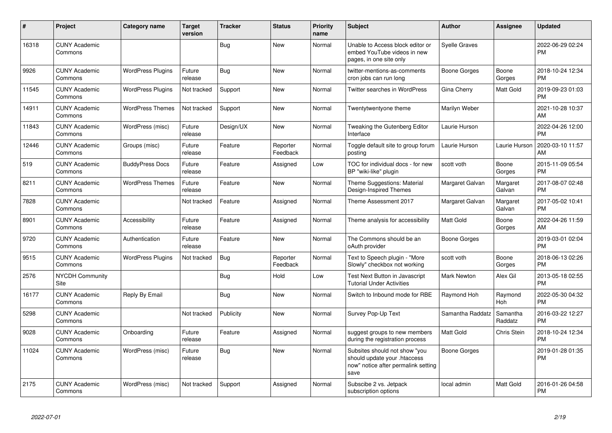| #     | Project                         | <b>Category name</b>     | <b>Target</b><br>version | <b>Tracker</b> | <b>Status</b>        | <b>Priority</b><br>name | <b>Subject</b>                                                                                               | <b>Author</b>        | <b>Assignee</b>       | <b>Updated</b>                |
|-------|---------------------------------|--------------------------|--------------------------|----------------|----------------------|-------------------------|--------------------------------------------------------------------------------------------------------------|----------------------|-----------------------|-------------------------------|
| 16318 | <b>CUNY Academic</b><br>Commons |                          |                          | <b>Bug</b>     | <b>New</b>           | Normal                  | Unable to Access block editor or<br>embed YouTube videos in new<br>pages, in one site only                   | <b>Syelle Graves</b> |                       | 2022-06-29 02:24<br><b>PM</b> |
| 9926  | <b>CUNY Academic</b><br>Commons | <b>WordPress Plugins</b> | Future<br>release        | Bug            | New                  | Normal                  | twitter-mentions-as-comments<br>cron jobs can run long                                                       | Boone Gorges         | Boone<br>Gorges       | 2018-10-24 12:34<br><b>PM</b> |
| 11545 | <b>CUNY Academic</b><br>Commons | <b>WordPress Plugins</b> | Not tracked              | Support        | New                  | Normal                  | <b>Twitter searches in WordPress</b>                                                                         | Gina Cherry          | Matt Gold             | 2019-09-23 01:03<br><b>PM</b> |
| 14911 | <b>CUNY Academic</b><br>Commons | <b>WordPress Themes</b>  | Not tracked              | Support        | New                  | Normal                  | Twentytwentyone theme                                                                                        | Marilyn Weber        |                       | 2021-10-28 10:37<br>AM        |
| 11843 | <b>CUNY Academic</b><br>Commons | WordPress (misc)         | Future<br>release        | Design/UX      | <b>New</b>           | Normal                  | Tweaking the Gutenberg Editor<br>Interface                                                                   | Laurie Hurson        |                       | 2022-04-26 12:00<br><b>PM</b> |
| 12446 | <b>CUNY Academic</b><br>Commons | Groups (misc)            | Future<br>release        | Feature        | Reporter<br>Feedback | Normal                  | Toggle default site to group forum<br>posting                                                                | Laurie Hurson        | Laurie Hurson         | 2020-03-10 11:57<br>AM        |
| 519   | <b>CUNY Academic</b><br>Commons | <b>BuddyPress Docs</b>   | Future<br>release        | Feature        | Assigned             | Low                     | TOC for individual docs - for new<br>BP "wiki-like" plugin                                                   | scott voth           | Boone<br>Gorges       | 2015-11-09 05:54<br><b>PM</b> |
| 8211  | <b>CUNY Academic</b><br>Commons | <b>WordPress Themes</b>  | Future<br>release        | Feature        | <b>New</b>           | Normal                  | Theme Suggestions: Material<br>Design-Inspired Themes                                                        | Margaret Galvan      | Margaret<br>Galvan    | 2017-08-07 02:48<br><b>PM</b> |
| 7828  | <b>CUNY Academic</b><br>Commons |                          | Not tracked              | Feature        | Assigned             | Normal                  | Theme Assessment 2017                                                                                        | Margaret Galvan      | Margaret<br>Galvan    | 2017-05-02 10:41<br><b>PM</b> |
| 8901  | <b>CUNY Academic</b><br>Commons | Accessibility            | Future<br>release        | Feature        | Assigned             | Normal                  | Theme analysis for accessibility                                                                             | <b>Matt Gold</b>     | Boone<br>Gorges       | 2022-04-26 11:59<br>AM        |
| 9720  | <b>CUNY Academic</b><br>Commons | Authentication           | Future<br>release        | Feature        | New                  | Normal                  | The Commons should be an<br>oAuth provider                                                                   | Boone Gorges         |                       | 2019-03-01 02:04<br><b>PM</b> |
| 9515  | <b>CUNY Academic</b><br>Commons | <b>WordPress Plugins</b> | Not tracked              | <b>Bug</b>     | Reporter<br>Feedback | Normal                  | Text to Speech plugin - "More<br>Slowly" checkbox not working                                                | scott voth           | Boone<br>Gorges       | 2018-06-13 02:26<br><b>PM</b> |
| 2576  | <b>NYCDH Community</b><br>Site  |                          |                          | Bug            | Hold                 | Low                     | Test Next Button in Javascript<br><b>Tutorial Under Activities</b>                                           | <b>Mark Newton</b>   | Alex Gil              | 2013-05-18 02:55<br><b>PM</b> |
| 16177 | <b>CUNY Academic</b><br>Commons | Reply By Email           |                          | Bug            | <b>New</b>           | Normal                  | Switch to Inbound mode for RBE                                                                               | Raymond Hoh          | Raymond<br><b>Hoh</b> | 2022-05-30 04:32<br><b>PM</b> |
| 5298  | <b>CUNY Academic</b><br>Commons |                          | Not tracked              | Publicity      | <b>New</b>           | Normal                  | Survey Pop-Up Text                                                                                           | Samantha Raddatz     | Samantha<br>Raddatz   | 2016-03-22 12:27<br><b>PM</b> |
| 9028  | <b>CUNY Academic</b><br>Commons | Onboarding               | Future<br>release        | Feature        | Assigned             | Normal                  | suggest groups to new members<br>during the registration process                                             | <b>Matt Gold</b>     | Chris Stein           | 2018-10-24 12:34<br><b>PM</b> |
| 11024 | <b>CUNY Academic</b><br>Commons | WordPress (misc)         | Future<br>release        | <b>Bug</b>     | New                  | Normal                  | Subsites should not show "you<br>should update your .htaccess<br>now" notice after permalink setting<br>save | Boone Gorges         |                       | 2019-01-28 01:35<br><b>PM</b> |
| 2175  | <b>CUNY Academic</b><br>Commons | WordPress (misc)         | Not tracked              | Support        | Assigned             | Normal                  | Subscibe 2 vs. Jetpack<br>subscription options                                                               | local admin          | Matt Gold             | 2016-01-26 04:58<br><b>PM</b> |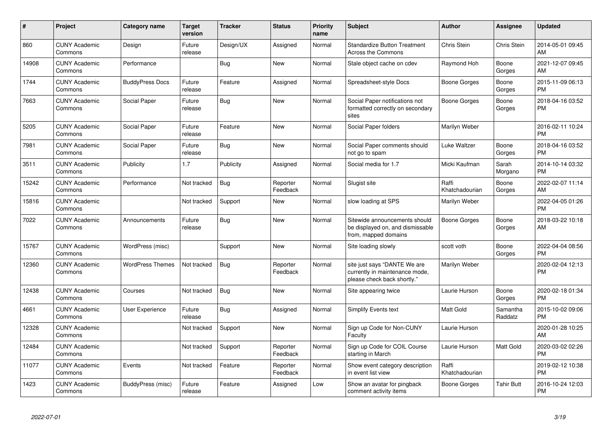| #     | Project                         | <b>Category name</b>    | <b>Target</b><br>version | <b>Tracker</b> | <b>Status</b>        | <b>Priority</b><br>name | <b>Subject</b>                                                                                | <b>Author</b>           | Assignee            | <b>Updated</b>                |
|-------|---------------------------------|-------------------------|--------------------------|----------------|----------------------|-------------------------|-----------------------------------------------------------------------------------------------|-------------------------|---------------------|-------------------------------|
| 860   | <b>CUNY Academic</b><br>Commons | Design                  | Future<br>release        | Design/UX      | Assigned             | Normal                  | <b>Standardize Button Treatment</b><br><b>Across the Commons</b>                              | Chris Stein             | Chris Stein         | 2014-05-01 09:45<br>AM        |
| 14908 | <b>CUNY Academic</b><br>Commons | Performance             |                          | Bug            | <b>New</b>           | Normal                  | Stale object cache on cdev                                                                    | Raymond Hoh             | Boone<br>Gorges     | 2021-12-07 09:45<br>AM        |
| 1744  | <b>CUNY Academic</b><br>Commons | <b>BuddyPress Docs</b>  | Future<br>release        | Feature        | Assigned             | Normal                  | Spreadsheet-style Docs                                                                        | Boone Gorges            | Boone<br>Gorges     | 2015-11-09 06:13<br><b>PM</b> |
| 7663  | <b>CUNY Academic</b><br>Commons | Social Paper            | Future<br>release        | Bug            | New                  | Normal                  | Social Paper notifications not<br>formatted correctly on secondary<br>sites                   | Boone Gorges            | Boone<br>Gorges     | 2018-04-16 03:52<br><b>PM</b> |
| 5205  | <b>CUNY Academic</b><br>Commons | Social Paper            | Future<br>release        | Feature        | New                  | Normal                  | Social Paper folders                                                                          | Marilyn Weber           |                     | 2016-02-11 10:24<br><b>PM</b> |
| 7981  | <b>CUNY Academic</b><br>Commons | Social Paper            | Future<br>release        | Bug            | New                  | Normal                  | Social Paper comments should<br>not go to spam                                                | Luke Waltzer            | Boone<br>Gorges     | 2018-04-16 03:52<br><b>PM</b> |
| 3511  | <b>CUNY Academic</b><br>Commons | Publicity               | 1.7                      | Publicity      | Assigned             | Normal                  | Social media for 1.7                                                                          | Micki Kaufman           | Sarah<br>Morgano    | 2014-10-14 03:32<br><b>PM</b> |
| 15242 | <b>CUNY Academic</b><br>Commons | Performance             | Not tracked              | <b>Bug</b>     | Reporter<br>Feedback | Normal                  | Slugist site                                                                                  | Raffi<br>Khatchadourian | Boone<br>Gorges     | 2022-02-07 11:14<br>AM        |
| 15816 | <b>CUNY Academic</b><br>Commons |                         | Not tracked              | Support        | New                  | Normal                  | slow loading at SPS                                                                           | Marilyn Weber           |                     | 2022-04-05 01:26<br><b>PM</b> |
| 7022  | <b>CUNY Academic</b><br>Commons | Announcements           | Future<br>release        | Bug            | New                  | Normal                  | Sitewide announcements should<br>be displayed on, and dismissable<br>from, mapped domains     | Boone Gorges            | Boone<br>Gorges     | 2018-03-22 10:18<br>AM        |
| 15767 | <b>CUNY Academic</b><br>Commons | WordPress (misc)        |                          | Support        | <b>New</b>           | Normal                  | Site loading slowly                                                                           | scott voth              | Boone<br>Gorges     | 2022-04-04 08:56<br><b>PM</b> |
| 12360 | <b>CUNY Academic</b><br>Commons | <b>WordPress Themes</b> | Not tracked              | Bug            | Reporter<br>Feedback | Normal                  | site just says "DANTE We are<br>currently in maintenance mode,<br>please check back shortly." | Marilyn Weber           |                     | 2020-02-04 12:13<br><b>PM</b> |
| 12438 | <b>CUNY Academic</b><br>Commons | Courses                 | Not tracked              | Bug            | New                  | Normal                  | Site appearing twice                                                                          | Laurie Hurson           | Boone<br>Gorges     | 2020-02-18 01:34<br><b>PM</b> |
| 4661  | <b>CUNY Academic</b><br>Commons | <b>User Experience</b>  | Future<br>release        | Bug            | Assigned             | Normal                  | <b>Simplify Events text</b>                                                                   | <b>Matt Gold</b>        | Samantha<br>Raddatz | 2015-10-02 09:06<br><b>PM</b> |
| 12328 | <b>CUNY Academic</b><br>Commons |                         | Not tracked              | Support        | <b>New</b>           | Normal                  | Sign up Code for Non-CUNY<br>Faculty                                                          | Laurie Hurson           |                     | 2020-01-28 10:25<br>AM        |
| 12484 | <b>CUNY Academic</b><br>Commons |                         | Not tracked              | Support        | Reporter<br>Feedback | Normal                  | Sign up Code for COIL Course<br>starting in March                                             | Laurie Hurson           | Matt Gold           | 2020-03-02 02:26<br><b>PM</b> |
| 11077 | <b>CUNY Academic</b><br>Commons | Events                  | Not tracked              | Feature        | Reporter<br>Feedback | Normal                  | Show event category description<br>in event list view                                         | Raffi<br>Khatchadourian |                     | 2019-02-12 10:38<br><b>PM</b> |
| 1423  | <b>CUNY Academic</b><br>Commons | BuddyPress (misc)       | Future<br>release        | Feature        | Assigned             | Low                     | Show an avatar for pingback<br>comment activity items                                         | Boone Gorges            | <b>Tahir Butt</b>   | 2016-10-24 12:03<br><b>PM</b> |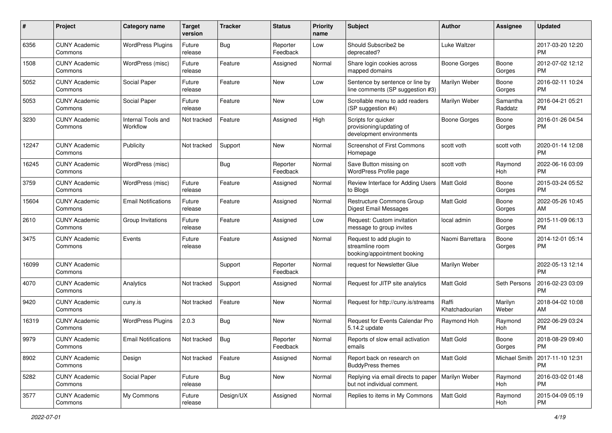| #     | Project                         | Category name                  | <b>Target</b><br>version | <b>Tracker</b> | <b>Status</b>        | Priority<br>name | <b>Subject</b>                                                              | <b>Author</b>           | <b>Assignee</b>     | <b>Updated</b>                |
|-------|---------------------------------|--------------------------------|--------------------------|----------------|----------------------|------------------|-----------------------------------------------------------------------------|-------------------------|---------------------|-------------------------------|
| 6356  | <b>CUNY Academic</b><br>Commons | <b>WordPress Plugins</b>       | Future<br>release        | Bug            | Reporter<br>Feedback | Low              | Should Subscribe2 be<br>deprecated?                                         | Luke Waltzer            |                     | 2017-03-20 12:20<br><b>PM</b> |
| 1508  | <b>CUNY Academic</b><br>Commons | WordPress (misc)               | Future<br>release        | Feature        | Assigned             | Normal           | Share login cookies across<br>mapped domains                                | <b>Boone Gorges</b>     | Boone<br>Gorges     | 2012-07-02 12:12<br><b>PM</b> |
| 5052  | <b>CUNY Academic</b><br>Commons | Social Paper                   | Future<br>release        | Feature        | New                  | Low              | Sentence by sentence or line by<br>line comments (SP suggestion #3)         | Marilyn Weber           | Boone<br>Gorges     | 2016-02-11 10:24<br><b>PM</b> |
| 5053  | <b>CUNY Academic</b><br>Commons | Social Paper                   | Future<br>release        | Feature        | New                  | Low              | Scrollable menu to add readers<br>(SP suggestion #4)                        | Marilyn Weber           | Samantha<br>Raddatz | 2016-04-21 05:21<br><b>PM</b> |
| 3230  | <b>CUNY Academic</b><br>Commons | Internal Tools and<br>Workflow | Not tracked              | Feature        | Assigned             | High             | Scripts for quicker<br>provisioning/updating of<br>development environments | Boone Gorges            | Boone<br>Gorges     | 2016-01-26 04:54<br><b>PM</b> |
| 12247 | <b>CUNY Academic</b><br>Commons | Publicity                      | Not tracked              | Support        | New                  | Normal           | Screenshot of First Commons<br>Homepage                                     | scott voth              | scott voth          | 2020-01-14 12:08<br><b>PM</b> |
| 16245 | <b>CUNY Academic</b><br>Commons | WordPress (misc)               |                          | Bug            | Reporter<br>Feedback | Normal           | Save Button missing on<br>WordPress Profile page                            | scott voth              | Raymond<br>Hoh      | 2022-06-16 03:09<br><b>PM</b> |
| 3759  | <b>CUNY Academic</b><br>Commons | WordPress (misc)               | Future<br>release        | Feature        | Assigned             | Normal           | Review Interface for Adding Users<br>to Blogs                               | <b>Matt Gold</b>        | Boone<br>Gorges     | 2015-03-24 05:52<br><b>PM</b> |
| 15604 | <b>CUNY Academic</b><br>Commons | <b>Email Notifications</b>     | Future<br>release        | Feature        | Assigned             | Normal           | <b>Restructure Commons Group</b><br>Digest Email Messages                   | <b>Matt Gold</b>        | Boone<br>Gorges     | 2022-05-26 10:45<br>AM.       |
| 2610  | <b>CUNY Academic</b><br>Commons | Group Invitations              | Future<br>release        | Feature        | Assigned             | Low              | Request: Custom invitation<br>message to group invites                      | local admin             | Boone<br>Gorges     | 2015-11-09 06:13<br><b>PM</b> |
| 3475  | <b>CUNY Academic</b><br>Commons | Events                         | Future<br>release        | Feature        | Assigned             | Normal           | Request to add plugin to<br>streamline room<br>booking/appointment booking  | Naomi Barrettara        | Boone<br>Gorges     | 2014-12-01 05:14<br><b>PM</b> |
| 16099 | <b>CUNY Academic</b><br>Commons |                                |                          | Support        | Reporter<br>Feedback | Normal           | request for Newsletter Glue                                                 | Marilyn Weber           |                     | 2022-05-13 12:14<br><b>PM</b> |
| 4070  | <b>CUNY Academic</b><br>Commons | Analytics                      | Not tracked              | Support        | Assigned             | Normal           | Request for JITP site analytics                                             | <b>Matt Gold</b>        | Seth Persons        | 2016-02-23 03:09<br><b>PM</b> |
| 9420  | <b>CUNY Academic</b><br>Commons | cuny.is                        | Not tracked              | Feature        | <b>New</b>           | Normal           | Request for http://cuny.is/streams                                          | Raffi<br>Khatchadourian | Marilyn<br>Weber    | 2018-04-02 10:08<br>AM        |
| 16319 | <b>CUNY Academic</b><br>Commons | <b>WordPress Plugins</b>       | 2.0.3                    | Bug            | New                  | Normal           | Request for Events Calendar Pro<br>5.14.2 update                            | Raymond Hoh             | Raymond<br>Hoh      | 2022-06-29 03:24<br><b>PM</b> |
| 9979  | <b>CUNY Academic</b><br>Commons | <b>Email Notifications</b>     | Not tracked              | <b>Bug</b>     | Reporter<br>Feedback | Normal           | Reports of slow email activation<br>emails                                  | Matt Gold               | Boone<br>Gorges     | 2018-08-29 09:40<br>PM        |
| 8902  | <b>CUNY Academic</b><br>Commons | Design                         | Not tracked              | Feature        | Assigned             | Normal           | Report back on research on<br><b>BuddyPress themes</b>                      | Matt Gold               | Michael Smith       | 2017-11-10 12:31<br><b>PM</b> |
| 5282  | <b>CUNY Academic</b><br>Commons | Social Paper                   | Future<br>release        | <b>Bug</b>     | New                  | Normal           | Replying via email directs to paper<br>but not individual comment.          | Marilyn Weber           | Raymond<br>Hoh      | 2016-03-02 01:48<br><b>PM</b> |
| 3577  | <b>CUNY Academic</b><br>Commons | My Commons                     | Future<br>release        | Design/UX      | Assigned             | Normal           | Replies to items in My Commons                                              | Matt Gold               | Raymond<br>Hoh      | 2015-04-09 05:19<br><b>PM</b> |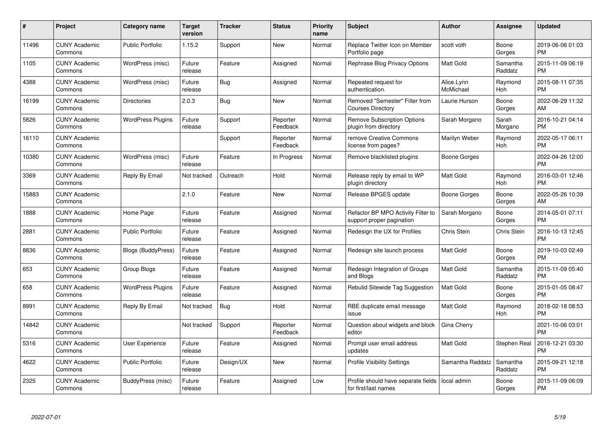| $\#$  | Project                         | <b>Category name</b>      | Target<br>version | <b>Tracker</b> | <b>Status</b>        | Priority<br>name | <b>Subject</b>                                                  | <b>Author</b>           | <b>Assignee</b>     | <b>Updated</b>                |
|-------|---------------------------------|---------------------------|-------------------|----------------|----------------------|------------------|-----------------------------------------------------------------|-------------------------|---------------------|-------------------------------|
| 11496 | <b>CUNY Academic</b><br>Commons | <b>Public Portfolio</b>   | 1.15.2            | Support        | <b>New</b>           | Normal           | Replace Twitter Icon on Member<br>Portfolio page                | scott voth              | Boone<br>Gorges     | 2019-06-06 01:03<br><b>PM</b> |
| 1105  | <b>CUNY Academic</b><br>Commons | WordPress (misc)          | Future<br>release | Feature        | Assigned             | Normal           | Rephrase Blog Privacy Options                                   | <b>Matt Gold</b>        | Samantha<br>Raddatz | 2015-11-09 06:19<br><b>PM</b> |
| 4388  | <b>CUNY Academic</b><br>Commons | WordPress (misc)          | Future<br>release | Bug            | Assigned             | Normal           | Repeated request for<br>authentication.                         | Alice.Lynn<br>McMichael | Raymond<br>Hoh      | 2015-08-11 07:35<br><b>PM</b> |
| 16199 | <b>CUNY Academic</b><br>Commons | <b>Directories</b>        | 2.0.3             | Bug            | <b>New</b>           | Normal           | Removed "Semester" Filter from<br><b>Courses Directory</b>      | Laurie Hurson           | Boone<br>Gorges     | 2022-06-29 11:32<br>AM        |
| 5826  | <b>CUNY Academic</b><br>Commons | <b>WordPress Plugins</b>  | Future<br>release | Support        | Reporter<br>Feedback | Normal           | <b>Remove Subscription Options</b><br>plugin from directory     | Sarah Morgano           | Sarah<br>Morgano    | 2016-10-21 04:14<br><b>PM</b> |
| 16110 | <b>CUNY Academic</b><br>Commons |                           |                   | Support        | Reporter<br>Feedback | Normal           | remove Creative Commons<br>license from pages?                  | Marilyn Weber           | Raymond<br>Hoh      | 2022-05-17 06:11<br><b>PM</b> |
| 10380 | <b>CUNY Academic</b><br>Commons | WordPress (misc)          | Future<br>release | Feature        | In Progress          | Normal           | Remove blacklisted plugins                                      | Boone Gorges            |                     | 2022-04-26 12:00<br><b>PM</b> |
| 3369  | <b>CUNY Academic</b><br>Commons | Reply By Email            | Not tracked       | Outreach       | Hold                 | Normal           | Release reply by email to WP<br>plugin directory                | <b>Matt Gold</b>        | Raymond<br>Hoh      | 2016-03-01 12:46<br><b>PM</b> |
| 15883 | <b>CUNY Academic</b><br>Commons |                           | 2.1.0             | Feature        | New                  | Normal           | Release BPGES update                                            | Boone Gorges            | Boone<br>Gorges     | 2022-05-26 10:39<br>AM        |
| 1888  | <b>CUNY Academic</b><br>Commons | Home Page                 | Future<br>release | Feature        | Assigned             | Normal           | Refactor BP MPO Activity Filter to<br>support proper pagination | Sarah Morgano           | Boone<br>Gorges     | 2014-05-01 07:11<br><b>PM</b> |
| 2881  | <b>CUNY Academic</b><br>Commons | <b>Public Portfolio</b>   | Future<br>release | Feature        | Assigned             | Normal           | Redesign the UX for Profiles                                    | Chris Stein             | Chris Stein         | 2016-10-13 12:45<br><b>PM</b> |
| 8836  | <b>CUNY Academic</b><br>Commons | <b>Blogs (BuddyPress)</b> | Future<br>release | Feature        | Assigned             | Normal           | Redesign site launch process                                    | <b>Matt Gold</b>        | Boone<br>Gorges     | 2019-10-03 02:49<br><b>PM</b> |
| 653   | <b>CUNY Academic</b><br>Commons | Group Blogs               | Future<br>release | Feature        | Assigned             | Normal           | Redesign Integration of Groups<br>and Blogs                     | Matt Gold               | Samantha<br>Raddatz | 2015-11-09 05:40<br><b>PM</b> |
| 658   | <b>CUNY Academic</b><br>Commons | <b>WordPress Plugins</b>  | Future<br>release | Feature        | Assigned             | Normal           | Rebulid Sitewide Tag Suggestion                                 | <b>Matt Gold</b>        | Boone<br>Gorges     | 2015-01-05 08:47<br><b>PM</b> |
| 8991  | <b>CUNY Academic</b><br>Commons | Reply By Email            | Not tracked       | Bug            | Hold                 | Normal           | RBE duplicate email message<br>issue                            | Matt Gold               | Raymond<br>Hoh      | 2018-02-18 08:53<br><b>PM</b> |
| 14842 | <b>CUNY Academic</b><br>Commons |                           | Not tracked       | Support        | Reporter<br>Feedback | Normal           | Question about widgets and block<br>editor                      | Gina Cherry             |                     | 2021-10-06 03:01<br><b>PM</b> |
| 5316  | <b>CUNY Academic</b><br>Commons | User Experience           | Future<br>release | Feature        | Assigned             | Normal           | Prompt user email address<br>updates                            | <b>Matt Gold</b>        | Stephen Real        | 2016-12-21 03:30<br><b>PM</b> |
| 4622  | <b>CUNY Academic</b><br>Commons | <b>Public Portfolio</b>   | Future<br>release | Design/UX      | New                  | Normal           | <b>Profile Visibility Settings</b>                              | Samantha Raddatz        | Samantha<br>Raddatz | 2015-09-21 12:18<br><b>PM</b> |
| 2325  | <b>CUNY Academic</b><br>Commons | BuddyPress (misc)         | Future<br>release | Feature        | Assigned             | Low              | Profile should have separate fields<br>for first/last names     | local admin             | Boone<br>Gorges     | 2015-11-09 06:09<br><b>PM</b> |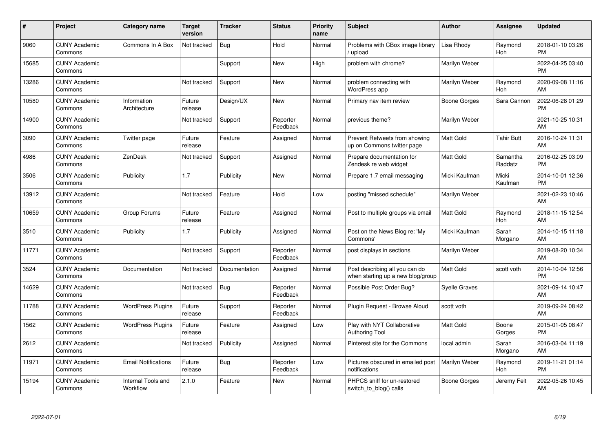| #     | Project                         | <b>Category name</b>           | <b>Target</b><br>version | <b>Tracker</b> | <b>Status</b>        | <b>Priority</b><br>name | <b>Subject</b>                                                      | <b>Author</b>    | <b>Assignee</b>     | <b>Updated</b>                |
|-------|---------------------------------|--------------------------------|--------------------------|----------------|----------------------|-------------------------|---------------------------------------------------------------------|------------------|---------------------|-------------------------------|
| 9060  | <b>CUNY Academic</b><br>Commons | Commons In A Box               | Not tracked              | Bug            | Hold                 | Normal                  | Problems with CBox image library<br>/ upload                        | Lisa Rhody       | Raymond<br>Hoh      | 2018-01-10 03:26<br><b>PM</b> |
| 15685 | <b>CUNY Academic</b><br>Commons |                                |                          | Support        | <b>New</b>           | High                    | problem with chrome?                                                | Marilyn Weber    |                     | 2022-04-25 03:40<br><b>PM</b> |
| 13286 | <b>CUNY Academic</b><br>Commons |                                | Not tracked              | Support        | <b>New</b>           | Normal                  | problem connecting with<br>WordPress app                            | Marilyn Weber    | Raymond<br>Hoh      | 2020-09-08 11:16<br>AM        |
| 10580 | <b>CUNY Academic</b><br>Commons | Information<br>Architecture    | Future<br>release        | Design/UX      | <b>New</b>           | Normal                  | Primary nav item review                                             | Boone Gorges     | Sara Cannon         | 2022-06-28 01:29<br><b>PM</b> |
| 14900 | <b>CUNY Academic</b><br>Commons |                                | Not tracked              | Support        | Reporter<br>Feedback | Normal                  | previous theme?                                                     | Marilyn Weber    |                     | 2021-10-25 10:31<br>AM        |
| 3090  | <b>CUNY Academic</b><br>Commons | Twitter page                   | Future<br>release        | Feature        | Assigned             | Normal                  | Prevent Retweets from showing<br>up on Commons twitter page         | <b>Matt Gold</b> | <b>Tahir Butt</b>   | 2016-10-24 11:31<br>AM        |
| 4986  | <b>CUNY Academic</b><br>Commons | ZenDesk                        | Not tracked              | Support        | Assigned             | Normal                  | Prepare documentation for<br>Zendesk re web widget                  | <b>Matt Gold</b> | Samantha<br>Raddatz | 2016-02-25 03:09<br><b>PM</b> |
| 3506  | <b>CUNY Academic</b><br>Commons | Publicity                      | 1.7                      | Publicity      | <b>New</b>           | Normal                  | Prepare 1.7 email messaging                                         | Micki Kaufman    | Micki<br>Kaufman    | 2014-10-01 12:36<br><b>PM</b> |
| 13912 | <b>CUNY Academic</b><br>Commons |                                | Not tracked              | Feature        | Hold                 | Low                     | posting "missed schedule"                                           | Marilyn Weber    |                     | 2021-02-23 10:46<br>AM        |
| 10659 | <b>CUNY Academic</b><br>Commons | Group Forums                   | Future<br>release        | Feature        | Assigned             | Normal                  | Post to multiple groups via email                                   | <b>Matt Gold</b> | Raymond<br>Hoh      | 2018-11-15 12:54<br>AM        |
| 3510  | <b>CUNY Academic</b><br>Commons | Publicity                      | 1.7                      | Publicity      | Assigned             | Normal                  | Post on the News Blog re: 'My<br>Commons'                           | Micki Kaufman    | Sarah<br>Morgano    | 2014-10-15 11:18<br>AM        |
| 11771 | <b>CUNY Academic</b><br>Commons |                                | Not tracked              | Support        | Reporter<br>Feedback | Normal                  | post displays in sections                                           | Marilyn Weber    |                     | 2019-08-20 10:34<br>AM        |
| 3524  | <b>CUNY Academic</b><br>Commons | Documentation                  | Not tracked              | Documentation  | Assigned             | Normal                  | Post describing all you can do<br>when starting up a new blog/group | <b>Matt Gold</b> | scott voth          | 2014-10-04 12:56<br><b>PM</b> |
| 14629 | <b>CUNY Academic</b><br>Commons |                                | Not tracked              | Bug            | Reporter<br>Feedback | Normal                  | Possible Post Order Bug?                                            | Syelle Graves    |                     | 2021-09-14 10:47<br>AM        |
| 11788 | <b>CUNY Academic</b><br>Commons | <b>WordPress Plugins</b>       | Future<br>release        | Support        | Reporter<br>Feedback | Normal                  | Plugin Request - Browse Aloud                                       | scott voth       |                     | 2019-09-24 08:42<br>AM        |
| 1562  | <b>CUNY Academic</b><br>Commons | <b>WordPress Plugins</b>       | Future<br>release        | Feature        | Assigned             | Low                     | Play with NYT Collaborative<br><b>Authoring Tool</b>                | <b>Matt Gold</b> | Boone<br>Gorges     | 2015-01-05 08:47<br><b>PM</b> |
| 2612  | <b>CUNY Academic</b><br>Commons |                                | Not tracked              | Publicity      | Assigned             | Normal                  | Pinterest site for the Commons                                      | local admin      | Sarah<br>Morgano    | 2016-03-04 11:19<br>AM        |
| 11971 | <b>CUNY Academic</b><br>Commons | <b>Email Notifications</b>     | Future<br>release        | Bug            | Reporter<br>Feedback | Low                     | Pictures obscured in emailed post<br>notifications                  | Marilyn Weber    | Raymond<br>Hoh      | 2019-11-21 01:14<br><b>PM</b> |
| 15194 | <b>CUNY Academic</b><br>Commons | Internal Tools and<br>Workflow | 2.1.0                    | Feature        | <b>New</b>           | Normal                  | PHPCS sniff for un-restored<br>switch_to_blog() calls               | Boone Gorges     | Jeremy Felt         | 2022-05-26 10:45<br>AM        |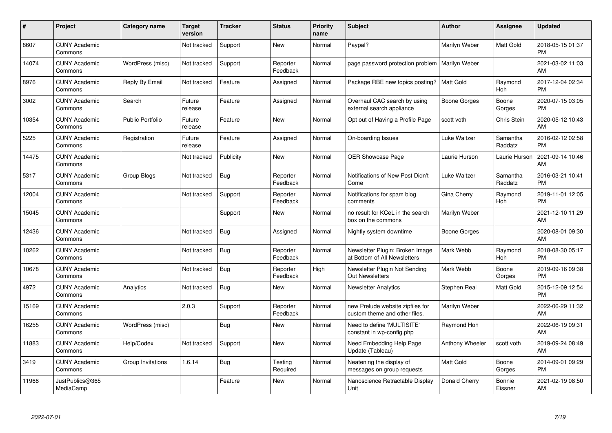| #     | Project                         | <b>Category name</b>    | <b>Target</b><br>version | <b>Tracker</b> | <b>Status</b>        | <b>Priority</b><br>name | <b>Subject</b>                                                    | <b>Author</b>   | <b>Assignee</b>     | <b>Updated</b>                |
|-------|---------------------------------|-------------------------|--------------------------|----------------|----------------------|-------------------------|-------------------------------------------------------------------|-----------------|---------------------|-------------------------------|
| 8607  | <b>CUNY Academic</b><br>Commons |                         | Not tracked              | Support        | <b>New</b>           | Normal                  | Paypal?                                                           | Marilyn Weber   | Matt Gold           | 2018-05-15 01:37<br><b>PM</b> |
| 14074 | <b>CUNY Academic</b><br>Commons | WordPress (misc)        | Not tracked              | Support        | Reporter<br>Feedback | Normal                  | page password protection problem                                  | Marilyn Weber   |                     | 2021-03-02 11:03<br>AM        |
| 8976  | <b>CUNY Academic</b><br>Commons | Reply By Email          | Not tracked              | Feature        | Assigned             | Normal                  | Package RBE new topics posting?                                   | l Matt Gold     | Raymond<br>Hoh      | 2017-12-04 02:34<br><b>PM</b> |
| 3002  | <b>CUNY Academic</b><br>Commons | Search                  | Future<br>release        | Feature        | Assigned             | Normal                  | Overhaul CAC search by using<br>external search appliance         | Boone Gorges    | Boone<br>Gorges     | 2020-07-15 03:05<br><b>PM</b> |
| 10354 | <b>CUNY Academic</b><br>Commons | <b>Public Portfolio</b> | Future<br>release        | Feature        | <b>New</b>           | Normal                  | Opt out of Having a Profile Page                                  | scott voth      | Chris Stein         | 2020-05-12 10:43<br>AM        |
| 5225  | <b>CUNY Academic</b><br>Commons | Registration            | Future<br>release        | Feature        | Assigned             | Normal                  | On-boarding Issues                                                | Luke Waltzer    | Samantha<br>Raddatz | 2016-02-12 02:58<br><b>PM</b> |
| 14475 | <b>CUNY Academic</b><br>Commons |                         | Not tracked              | Publicity      | <b>New</b>           | Normal                  | OER Showcase Page                                                 | Laurie Hurson   | Laurie Hurson       | 2021-09-14 10:46<br>AM        |
| 5317  | <b>CUNY Academic</b><br>Commons | Group Blogs             | Not tracked              | <b>Bug</b>     | Reporter<br>Feedback | Normal                  | Notifications of New Post Didn't<br>Come                          | Luke Waltzer    | Samantha<br>Raddatz | 2016-03-21 10:41<br><b>PM</b> |
| 12004 | <b>CUNY Academic</b><br>Commons |                         | Not tracked              | Support        | Reporter<br>Feedback | Normal                  | Notifications for spam blog<br>comments                           | Gina Cherry     | Raymond<br>Hoh      | 2019-11-01 12:05<br><b>PM</b> |
| 15045 | <b>CUNY Academic</b><br>Commons |                         |                          | Support        | New                  | Normal                  | no result for KCeL in the search<br>box on the commons            | Marilyn Weber   |                     | 2021-12-10 11:29<br>AM        |
| 12436 | <b>CUNY Academic</b><br>Commons |                         | Not tracked              | Bug            | Assigned             | Normal                  | Nightly system downtime                                           | Boone Gorges    |                     | 2020-08-01 09:30<br>AM        |
| 10262 | <b>CUNY Academic</b><br>Commons |                         | Not tracked              | Bug            | Reporter<br>Feedback | Normal                  | Newsletter Plugin: Broken Image<br>at Bottom of All Newsletters   | Mark Webb       | Raymond<br>Hoh      | 2018-08-30 05:17<br><b>PM</b> |
| 10678 | <b>CUNY Academic</b><br>Commons |                         | Not tracked              | <b>Bug</b>     | Reporter<br>Feedback | High                    | Newsletter Plugin Not Sending<br><b>Out Newsletters</b>           | Mark Webb       | Boone<br>Gorges     | 2019-09-16 09:38<br><b>PM</b> |
| 4972  | <b>CUNY Academic</b><br>Commons | Analytics               | Not tracked              | <b>Bug</b>     | New                  | Normal                  | <b>Newsletter Analytics</b>                                       | Stephen Real    | Matt Gold           | 2015-12-09 12:54<br><b>PM</b> |
| 15169 | <b>CUNY Academic</b><br>Commons |                         | 2.0.3                    | Support        | Reporter<br>Feedback | Normal                  | new Prelude website zipfiles for<br>custom theme and other files. | Marilyn Weber   |                     | 2022-06-29 11:32<br>AM        |
| 16255 | <b>CUNY Academic</b><br>Commons | WordPress (misc)        |                          | Bug            | New                  | Normal                  | Need to define 'MULTISITE'<br>constant in wp-config.php           | Raymond Hoh     |                     | 2022-06-19 09:31<br>AM        |
| 11883 | <b>CUNY Academic</b><br>Commons | Help/Codex              | Not tracked              | Support        | New                  | Normal                  | Need Embedding Help Page<br>Update (Tableau)                      | Anthony Wheeler | scott voth          | 2019-09-24 08:49<br>AM        |
| 3419  | <b>CUNY Academic</b><br>Commons | Group Invitations       | 1.6.14                   | Bug            | Testing<br>Required  | Normal                  | Neatening the display of<br>messages on group requests            | Matt Gold       | Boone<br>Gorges     | 2014-09-01 09:29<br><b>PM</b> |
| 11968 | JustPublics@365<br>MediaCamp    |                         |                          | Feature        | <b>New</b>           | Normal                  | Nanoscience Retractable Display<br>Unit                           | Donald Cherry   | Bonnie<br>Eissner   | 2021-02-19 08:50<br>AM        |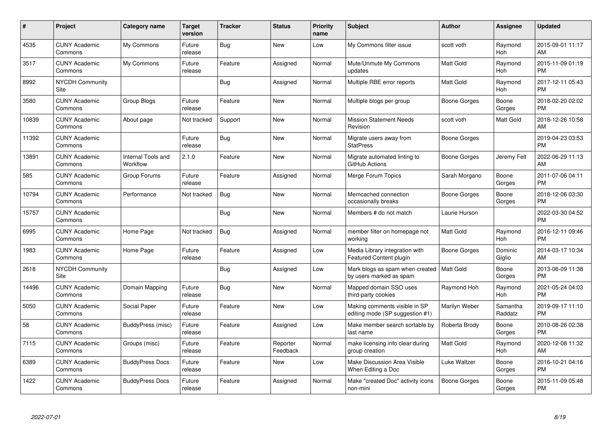| #     | Project                         | <b>Category name</b>           | <b>Target</b><br>version | <b>Tracker</b> | <b>Status</b>        | <b>Priority</b><br>name | <b>Subject</b>                                                         | <b>Author</b>    | <b>Assignee</b>     | <b>Updated</b>                |
|-------|---------------------------------|--------------------------------|--------------------------|----------------|----------------------|-------------------------|------------------------------------------------------------------------|------------------|---------------------|-------------------------------|
| 4535  | <b>CUNY Academic</b><br>Commons | My Commons                     | Future<br>release        | Bug            | <b>New</b>           | Low                     | My Commons filter issue                                                | scott voth       | Raymond<br>Hoh      | 2015-09-01 11:17<br>AM        |
| 3517  | <b>CUNY Academic</b><br>Commons | My Commons                     | Future<br>release        | Feature        | Assigned             | Normal                  | Mute/Unmute My Commons<br>updates                                      | <b>Matt Gold</b> | Raymond<br>Hoh      | 2015-11-09 01:19<br><b>PM</b> |
| 8992  | <b>NYCDH Community</b><br>Site  |                                |                          | <b>Bug</b>     | Assigned             | Normal                  | Multiple RBE error reports                                             | <b>Matt Gold</b> | Raymond<br>Hoh      | 2017-12-11 05:43<br><b>PM</b> |
| 3580  | <b>CUNY Academic</b><br>Commons | Group Blogs                    | Future<br>release        | Feature        | <b>New</b>           | Normal                  | Multiple blogs per group                                               | Boone Gorges     | Boone<br>Gorges     | 2018-02-20 02:02<br><b>PM</b> |
| 10839 | <b>CUNY Academic</b><br>Commons | About page                     | Not tracked              | Support        | <b>New</b>           | Normal                  | <b>Mission Statement Needs</b><br>Revision                             | scott voth       | Matt Gold           | 2018-12-26 10:58<br>AM        |
| 11392 | <b>CUNY Academic</b><br>Commons |                                | Future<br>release        | <b>Bug</b>     | <b>New</b>           | Normal                  | Migrate users away from<br><b>StatPress</b>                            | Boone Gorges     |                     | 2019-04-23 03:53<br><b>PM</b> |
| 13891 | <b>CUNY Academic</b><br>Commons | Internal Tools and<br>Workflow | 2.1.0                    | Feature        | <b>New</b>           | Normal                  | Migrate automated linting to<br>GitHub Actions                         | Boone Gorges     | Jeremy Felt         | 2022-06-29 11:13<br>AM        |
| 585   | <b>CUNY Academic</b><br>Commons | Group Forums                   | Future<br>release        | Feature        | Assigned             | Normal                  | Merge Forum Topics                                                     | Sarah Morgano    | Boone<br>Gorges     | 2011-07-06 04:11<br><b>PM</b> |
| 10794 | <b>CUNY Academic</b><br>Commons | Performance                    | Not tracked              | Bug            | New                  | Normal                  | Memcached connection<br>occasionally breaks                            | Boone Gorges     | Boone<br>Gorges     | 2018-12-06 03:30<br><b>PM</b> |
| 15757 | <b>CUNY Academic</b><br>Commons |                                |                          | Bug            | <b>New</b>           | Normal                  | Members # do not match                                                 | Laurie Hurson    |                     | 2022-03-30 04:52<br><b>PM</b> |
| 6995  | <b>CUNY Academic</b><br>Commons | Home Page                      | Not tracked              | Bug            | Assigned             | Normal                  | member filter on homepage not<br>working                               | <b>Matt Gold</b> | Raymond<br>Hoh      | 2016-12-11 09:46<br><b>PM</b> |
| 1983  | <b>CUNY Academic</b><br>Commons | Home Page                      | Future<br>release        | Feature        | Assigned             | Low                     | Media Library integration with<br>Featured Content plugin              | Boone Gorges     | Dominic<br>Giglio   | 2014-03-17 10:34<br>AM        |
| 2618  | <b>NYCDH Community</b><br>Site  |                                |                          | Bug            | Assigned             | Low                     | Mark blogs as spam when created   Matt Gold<br>by users marked as spam |                  | Boone<br>Gorges     | 2013-06-09 11:38<br><b>PM</b> |
| 14496 | <b>CUNY Academic</b><br>Commons | Domain Mapping                 | Future<br>release        | Bug            | New                  | Normal                  | Mapped domain SSO uses<br>third-party cookies                          | Raymond Hoh      | Raymond<br>Hoh      | 2021-05-24 04:03<br><b>PM</b> |
| 5050  | <b>CUNY Academic</b><br>Commons | Social Paper                   | Future<br>release        | Feature        | New                  | Low                     | Making comments visible in SP<br>editing mode (SP suggestion #1)       | Marilyn Weber    | Samantha<br>Raddatz | 2019-09-17 11:10<br><b>PM</b> |
| 58    | <b>CUNY Academic</b><br>Commons | BuddyPress (misc)              | Future<br>release        | Feature        | Assigned             | Low                     | Make member search sortable by<br>last name                            | Roberta Brody    | Boone<br>Gorges     | 2010-08-26 02:38<br><b>PM</b> |
| 7115  | <b>CUNY Academic</b><br>Commons | Groups (misc)                  | Future<br>release        | Feature        | Reporter<br>Feedback | Normal                  | make licensing info clear during<br>group creation                     | <b>Matt Gold</b> | Raymond<br>Hoh      | 2020-12-08 11:32<br>AM        |
| 6389  | <b>CUNY Academic</b><br>Commons | <b>BuddyPress Docs</b>         | Future<br>release        | Feature        | New                  | Low                     | Make Discussion Area Visible<br>When Editing a Doc                     | Luke Waltzer     | Boone<br>Gorges     | 2016-10-21 04:16<br><b>PM</b> |
| 1422  | <b>CUNY Academic</b><br>Commons | <b>BuddyPress Docs</b>         | Future<br>release        | Feature        | Assigned             | Normal                  | Make "created Doc" activity icons<br>non-mini                          | Boone Gorges     | Boone<br>Gorges     | 2015-11-09 05:48<br><b>PM</b> |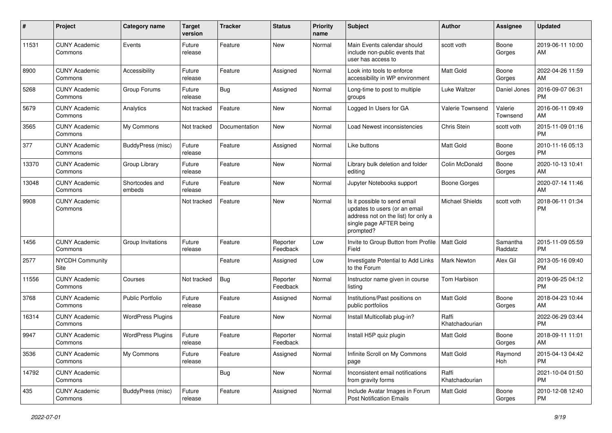| #     | Project                         | <b>Category name</b>     | <b>Target</b><br>version | Tracker       | <b>Status</b>        | <b>Priority</b><br>name | Subject                                                                                                                                      | Author                  | <b>Assignee</b>     | <b>Updated</b>                |
|-------|---------------------------------|--------------------------|--------------------------|---------------|----------------------|-------------------------|----------------------------------------------------------------------------------------------------------------------------------------------|-------------------------|---------------------|-------------------------------|
| 11531 | <b>CUNY Academic</b><br>Commons | Events                   | Future<br>release        | Feature       | <b>New</b>           | Normal                  | Main Events calendar should<br>include non-public events that<br>user has access to                                                          | scott voth              | Boone<br>Gorges     | 2019-06-11 10:00<br>AM        |
| 8900  | <b>CUNY Academic</b><br>Commons | Accessibility            | Future<br>release        | Feature       | Assigned             | Normal                  | Look into tools to enforce<br>accessibility in WP environment                                                                                | Matt Gold               | Boone<br>Gorges     | 2022-04-26 11:59<br>AM        |
| 5268  | <b>CUNY Academic</b><br>Commons | Group Forums             | Future<br>release        | Bug           | Assigned             | Normal                  | Long-time to post to multiple<br>groups                                                                                                      | Luke Waltzer            | Daniel Jones        | 2016-09-07 06:31<br><b>PM</b> |
| 5679  | <b>CUNY Academic</b><br>Commons | Analytics                | Not tracked              | Feature       | <b>New</b>           | Normal                  | Logged In Users for GA                                                                                                                       | Valerie Townsend        | Valerie<br>Townsend | 2016-06-11 09:49<br>AM        |
| 3565  | <b>CUNY Academic</b><br>Commons | My Commons               | Not tracked              | Documentation | <b>New</b>           | Normal                  | Load Newest inconsistencies                                                                                                                  | Chris Stein             | scott voth          | 2015-11-09 01:16<br><b>PM</b> |
| 377   | <b>CUNY Academic</b><br>Commons | BuddyPress (misc)        | Future<br>release        | Feature       | Assigned             | Normal                  | Like buttons                                                                                                                                 | <b>Matt Gold</b>        | Boone<br>Gorges     | 2010-11-16 05:13<br><b>PM</b> |
| 13370 | <b>CUNY Academic</b><br>Commons | Group Library            | Future<br>release        | Feature       | New                  | Normal                  | Library bulk deletion and folder<br>editing                                                                                                  | Colin McDonald          | Boone<br>Gorges     | 2020-10-13 10:41<br>AM        |
| 13048 | <b>CUNY Academic</b><br>Commons | Shortcodes and<br>embeds | Future<br>release        | Feature       | <b>New</b>           | Normal                  | Jupyter Notebooks support                                                                                                                    | <b>Boone Gorges</b>     |                     | 2020-07-14 11:46<br>AM        |
| 9908  | <b>CUNY Academic</b><br>Commons |                          | Not tracked              | Feature       | <b>New</b>           | Normal                  | Is it possible to send email<br>updates to users (or an email<br>address not on the list) for only a<br>single page AFTER being<br>prompted? | <b>Michael Shields</b>  | scott voth          | 2018-06-11 01:34<br><b>PM</b> |
| 1456  | <b>CUNY Academic</b><br>Commons | Group Invitations        | Future<br>release        | Feature       | Reporter<br>Feedback | Low                     | Invite to Group Button from Profile<br>Field                                                                                                 | Matt Gold               | Samantha<br>Raddatz | 2015-11-09 05:59<br><b>PM</b> |
| 2577  | NYCDH Community<br>Site         |                          |                          | Feature       | Assigned             | Low                     | Investigate Potential to Add Links<br>to the Forum                                                                                           | <b>Mark Newton</b>      | Alex Gil            | 2013-05-16 09:40<br><b>PM</b> |
| 11556 | <b>CUNY Academic</b><br>Commons | Courses                  | Not tracked              | Bug           | Reporter<br>Feedback | Normal                  | Instructor name given in course<br>listing                                                                                                   | Tom Harbison            |                     | 2019-06-25 04:12<br><b>PM</b> |
| 3768  | <b>CUNY Academic</b><br>Commons | Public Portfolio         | Future<br>release        | Feature       | Assigned             | Normal                  | Institutions/Past positions on<br>public portfolios                                                                                          | <b>Matt Gold</b>        | Boone<br>Gorges     | 2018-04-23 10:44<br>AM        |
| 16314 | <b>CUNY Academic</b><br>Commons | <b>WordPress Plugins</b> |                          | Feature       | New                  | Normal                  | Install Multicollab plug-in?                                                                                                                 | Raffi<br>Khatchadourian |                     | 2022-06-29 03:44<br><b>PM</b> |
| 9947  | <b>CUNY Academic</b><br>Commons | <b>WordPress Plugins</b> | Future<br>release        | Feature       | Reporter<br>Feedback | Normal                  | Install H5P quiz plugin                                                                                                                      | <b>Matt Gold</b>        | Boone<br>Gorges     | 2018-09-11 11:01<br>AM        |
| 3536  | <b>CUNY Academic</b><br>Commons | My Commons               | Future<br>release        | Feature       | Assigned             | Normal                  | Infinite Scroll on My Commons<br>page                                                                                                        | Matt Gold               | Raymond<br>Hoh      | 2015-04-13 04:42<br><b>PM</b> |
| 14792 | <b>CUNY Academic</b><br>Commons |                          |                          | <b>Bug</b>    | New                  | Normal                  | Inconsistent email notifications<br>from gravity forms                                                                                       | Raffi<br>Khatchadourian |                     | 2021-10-04 01:50<br><b>PM</b> |
| 435   | <b>CUNY Academic</b><br>Commons | BuddyPress (misc)        | Future<br>release        | Feature       | Assigned             | Normal                  | Include Avatar Images in Forum<br><b>Post Notification Emails</b>                                                                            | Matt Gold               | Boone<br>Gorges     | 2010-12-08 12:40<br>PM        |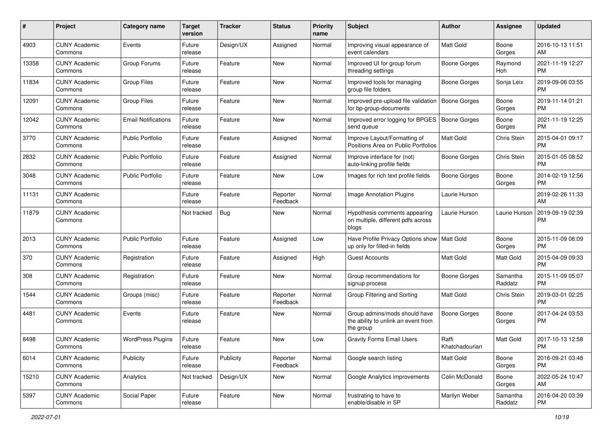| #     | Project                         | <b>Category name</b>       | <b>Target</b><br>version | <b>Tracker</b> | <b>Status</b>        | Priority<br>name | <b>Subject</b>                                                                    | <b>Author</b>           | <b>Assignee</b>     | <b>Updated</b>                |
|-------|---------------------------------|----------------------------|--------------------------|----------------|----------------------|------------------|-----------------------------------------------------------------------------------|-------------------------|---------------------|-------------------------------|
| 4903  | <b>CUNY Academic</b><br>Commons | Events                     | Future<br>release        | Design/UX      | Assigned             | Normal           | Improving visual appearance of<br>event calendars                                 | <b>Matt Gold</b>        | Boone<br>Gorges     | 2016-10-13 11:51<br>AM.       |
| 13358 | <b>CUNY Academic</b><br>Commons | Group Forums               | Future<br>release        | Feature        | New                  | Normal           | Improved UI for group forum<br>threading settings                                 | Boone Gorges            | Raymond<br>Hoh      | 2021-11-19 12:27<br><b>PM</b> |
| 11834 | <b>CUNY Academic</b><br>Commons | <b>Group Files</b>         | Future<br>release        | Feature        | New                  | Normal           | Improved tools for managing<br>group file folders                                 | Boone Gorges            | Sonja Leix          | 2019-09-06 03:55<br><b>PM</b> |
| 12091 | <b>CUNY Academic</b><br>Commons | <b>Group Files</b>         | Future<br>release        | Feature        | New                  | Normal           | Improved pre-upload file validation<br>for bp-group-documents                     | Boone Gorges            | Boone<br>Gorges     | 2019-11-14 01:21<br><b>PM</b> |
| 12042 | <b>CUNY Academic</b><br>Commons | <b>Email Notifications</b> | Future<br>release        | Feature        | New                  | Normal           | Improved error logging for BPGES<br>send queue                                    | Boone Gorges            | Boone<br>Gorges     | 2021-11-19 12:25<br><b>PM</b> |
| 3770  | <b>CUNY Academic</b><br>Commons | <b>Public Portfolio</b>    | Future<br>release        | Feature        | Assigned             | Normal           | Improve Layout/Formatting of<br>Positions Area on Public Portfolios               | Matt Gold               | Chris Stein         | 2015-04-01 09:17<br><b>PM</b> |
| 2832  | <b>CUNY Academic</b><br>Commons | <b>Public Portfolio</b>    | Future<br>release        | Feature        | Assigned             | Normal           | Improve interface for (not)<br>auto-linking profile fields                        | Boone Gorges            | Chris Stein         | 2015-01-05 08:52<br><b>PM</b> |
| 3048  | <b>CUNY Academic</b><br>Commons | Public Portfolio           | Future<br>release        | Feature        | New                  | Low              | Images for rich text profile fields                                               | Boone Gorges            | Boone<br>Gorges     | 2014-02-19 12:56<br>PM.       |
| 11131 | <b>CUNY Academic</b><br>Commons |                            | Future<br>release        | Feature        | Reporter<br>Feedback | Normal           | Image Annotation Plugins                                                          | Laurie Hurson           |                     | 2019-02-26 11:33<br>AM        |
| 11879 | <b>CUNY Academic</b><br>Commons |                            | Not tracked              | Bug            | New                  | Normal           | Hypothesis comments appearing<br>on multiple, different pdfs across<br>blogs      | Laurie Hurson           | Laurie Hurson       | 2019-09-19 02:39<br>PM.       |
| 2013  | <b>CUNY Academic</b><br>Commons | <b>Public Portfolio</b>    | Future<br>release        | Feature        | Assigned             | Low              | Have Profile Privacy Options show<br>up only for filled-in fields                 | Matt Gold               | Boone<br>Gorges     | 2015-11-09 06:09<br>PM.       |
| 370   | <b>CUNY Academic</b><br>Commons | Registration               | Future<br>release        | Feature        | Assigned             | High             | <b>Guest Accounts</b>                                                             | Matt Gold               | Matt Gold           | 2015-04-09 09:33<br><b>PM</b> |
| 308   | <b>CUNY Academic</b><br>Commons | Registration               | Future<br>release        | Feature        | <b>New</b>           | Normal           | Group recommendations for<br>signup process                                       | Boone Gorges            | Samantha<br>Raddatz | 2015-11-09 05:07<br><b>PM</b> |
| 1544  | <b>CUNY Academic</b><br>Commons | Groups (misc)              | Future<br>release        | Feature        | Reporter<br>Feedback | Normal           | Group Filtering and Sorting                                                       | <b>Matt Gold</b>        | Chris Stein         | 2019-03-01 02:25<br><b>PM</b> |
| 4481  | <b>CUNY Academic</b><br>Commons | Events                     | Future<br>release        | Feature        | New                  | Normal           | Group admins/mods should have<br>the ability to unlink an event from<br>the group | Boone Gorges            | Boone<br>Gorges     | 2017-04-24 03:53<br><b>PM</b> |
| 8498  | <b>CUNY Academic</b><br>Commons | <b>WordPress Plugins</b>   | Future<br>release        | Feature        | New                  | Low              | <b>Gravity Forms Email Users</b>                                                  | Raffi<br>Khatchadourian | Matt Gold           | 2017-10-13 12:58<br><b>PM</b> |
| 6014  | <b>CUNY Academic</b><br>Commons | Publicity                  | Future<br>release        | Publicity      | Reporter<br>Feedback | Normal           | Google search listing                                                             | Matt Gold               | Boone<br>Gorges     | 2016-09-21 03:48<br>PM.       |
| 15210 | <b>CUNY Academic</b><br>Commons | Analytics                  | Not tracked              | Design/UX      | New                  | Normal           | Google Analytics improvements                                                     | Colin McDonald          | Boone<br>Gorges     | 2022-05-24 10:47<br>AM        |
| 5397  | <b>CUNY Academic</b><br>Commons | Social Paper               | Future<br>release        | Feature        | New                  | Normal           | frustrating to have to<br>enable/disable in SP                                    | Marilyn Weber           | Samantha<br>Raddatz | 2016-04-20 03:39<br><b>PM</b> |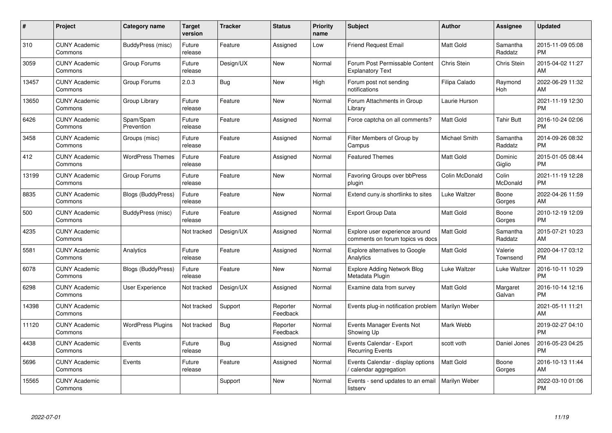| $\#$  | Project                         | <b>Category name</b>      | <b>Target</b><br>version | <b>Tracker</b> | <b>Status</b>        | Priority<br>name | <b>Subject</b>                                                     | <b>Author</b>        | <b>Assignee</b>     | <b>Updated</b>                |
|-------|---------------------------------|---------------------------|--------------------------|----------------|----------------------|------------------|--------------------------------------------------------------------|----------------------|---------------------|-------------------------------|
| 310   | <b>CUNY Academic</b><br>Commons | BuddyPress (misc)         | Future<br>release        | Feature        | Assigned             | Low              | <b>Friend Request Email</b>                                        | <b>Matt Gold</b>     | Samantha<br>Raddatz | 2015-11-09 05:08<br><b>PM</b> |
| 3059  | <b>CUNY Academic</b><br>Commons | Group Forums              | Future<br>release        | Design/UX      | New                  | Normal           | Forum Post Permissable Content<br><b>Explanatory Text</b>          | Chris Stein          | Chris Stein         | 2015-04-02 11:27<br>AM        |
| 13457 | <b>CUNY Academic</b><br>Commons | Group Forums              | 2.0.3                    | Bug            | <b>New</b>           | High             | Forum post not sending<br>notifications                            | Filipa Calado        | Raymond<br>Hoh      | 2022-06-29 11:32<br>AM        |
| 13650 | <b>CUNY Academic</b><br>Commons | Group Library             | Future<br>release        | Feature        | <b>New</b>           | Normal           | Forum Attachments in Group<br>Library                              | Laurie Hurson        |                     | 2021-11-19 12:30<br><b>PM</b> |
| 6426  | <b>CUNY Academic</b><br>Commons | Spam/Spam<br>Prevention   | Future<br>release        | Feature        | Assigned             | Normal           | Force captcha on all comments?                                     | <b>Matt Gold</b>     | <b>Tahir Butt</b>   | 2016-10-24 02:06<br><b>PM</b> |
| 3458  | <b>CUNY Academic</b><br>Commons | Groups (misc)             | Future<br>release        | Feature        | Assigned             | Normal           | Filter Members of Group by<br>Campus                               | Michael Smith        | Samantha<br>Raddatz | 2014-09-26 08:32<br><b>PM</b> |
| 412   | <b>CUNY Academic</b><br>Commons | <b>WordPress Themes</b>   | Future<br>release        | Feature        | Assigned             | Normal           | <b>Featured Themes</b>                                             | Matt Gold            | Dominic<br>Giglio   | 2015-01-05 08:44<br><b>PM</b> |
| 13199 | <b>CUNY Academic</b><br>Commons | Group Forums              | Future<br>release        | Feature        | <b>New</b>           | Normal           | Favoring Groups over bbPress<br>plugin                             | Colin McDonald       | Colin<br>McDonald   | 2021-11-19 12:28<br><b>PM</b> |
| 8835  | <b>CUNY Academic</b><br>Commons | <b>Blogs (BuddyPress)</b> | Future<br>release        | Feature        | <b>New</b>           | Normal           | Extend cuny. is shortlinks to sites                                | Luke Waltzer         | Boone<br>Gorges     | 2022-04-26 11:59<br>AM        |
| 500   | <b>CUNY Academic</b><br>Commons | BuddyPress (misc)         | Future<br>release        | Feature        | Assigned             | Normal           | <b>Export Group Data</b>                                           | <b>Matt Gold</b>     | Boone<br>Gorges     | 2010-12-19 12:09<br><b>PM</b> |
| 4235  | <b>CUNY Academic</b><br>Commons |                           | Not tracked              | Design/UX      | Assigned             | Normal           | Explore user experience around<br>comments on forum topics vs docs | Matt Gold            | Samantha<br>Raddatz | 2015-07-21 10:23<br>AM        |
| 5581  | <b>CUNY Academic</b><br>Commons | Analytics                 | Future<br>release        | Feature        | Assigned             | Normal           | <b>Explore alternatives to Google</b><br>Analytics                 | Matt Gold            | Valerie<br>Townsend | 2020-04-17 03:12<br><b>PM</b> |
| 6078  | <b>CUNY Academic</b><br>Commons | <b>Blogs (BuddyPress)</b> | Future<br>release        | Feature        | <b>New</b>           | Normal           | <b>Explore Adding Network Blog</b><br>Metadata Plugin              | Luke Waltzer         | Luke Waltzer        | 2016-10-11 10:29<br><b>PM</b> |
| 6298  | <b>CUNY Academic</b><br>Commons | User Experience           | Not tracked              | Design/UX      | Assigned             | Normal           | Examine data from survey                                           | <b>Matt Gold</b>     | Margaret<br>Galvan  | 2016-10-14 12:16<br><b>PM</b> |
| 14398 | <b>CUNY Academic</b><br>Commons |                           | Not tracked              | Support        | Reporter<br>Feedback | Normal           | Events plug-in notification problem                                | <b>Marilyn Weber</b> |                     | 2021-05-11 11:21<br>AM        |
| 11120 | <b>CUNY Academic</b><br>Commons | <b>WordPress Plugins</b>  | Not tracked              | Bug            | Reporter<br>Feedback | Normal           | Events Manager Events Not<br>Showing Up                            | Mark Webb            |                     | 2019-02-27 04:10<br><b>PM</b> |
| 4438  | <b>CUNY Academic</b><br>Commons | Events                    | Future<br>release        | <b>Bug</b>     | Assigned             | Normal           | Events Calendar - Export<br><b>Recurring Events</b>                | scott voth           | Daniel Jones        | 2016-05-23 04:25<br><b>PM</b> |
| 5696  | <b>CUNY Academic</b><br>Commons | Events                    | Future<br>release        | Feature        | Assigned             | Normal           | Events Calendar - display options<br>calendar aggregation          | <b>Matt Gold</b>     | Boone<br>Gorges     | 2016-10-13 11:44<br>AM        |
| 15565 | <b>CUNY Academic</b><br>Commons |                           |                          | Support        | New                  | Normal           | Events - send updates to an email<br>listserv                      | Marilyn Weber        |                     | 2022-03-10 01:06<br><b>PM</b> |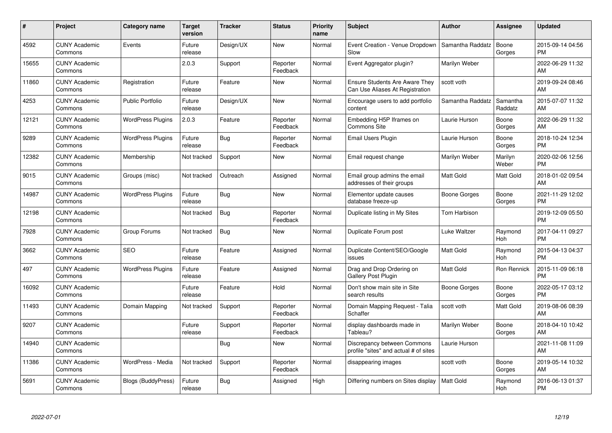| #     | Project                         | <b>Category name</b>     | Target<br>version | <b>Tracker</b> | <b>Status</b>        | Priority<br>name | <b>Subject</b>                                                           | <b>Author</b>    | Assignee            | <b>Updated</b>                |
|-------|---------------------------------|--------------------------|-------------------|----------------|----------------------|------------------|--------------------------------------------------------------------------|------------------|---------------------|-------------------------------|
| 4592  | <b>CUNY Academic</b><br>Commons | Events                   | Future<br>release | Design/UX      | <b>New</b>           | Normal           | Event Creation - Venue Dropdown<br>Slow                                  | Samantha Raddatz | Boone<br>Gorges     | 2015-09-14 04:56<br><b>PM</b> |
| 15655 | <b>CUNY Academic</b><br>Commons |                          | 2.0.3             | Support        | Reporter<br>Feedback | Normal           | Event Aggregator plugin?                                                 | Marilyn Weber    |                     | 2022-06-29 11:32<br><b>AM</b> |
| 11860 | <b>CUNY Academic</b><br>Commons | Registration             | Future<br>release | Feature        | <b>New</b>           | Normal           | <b>Ensure Students Are Aware They</b><br>Can Use Aliases At Registration | scott voth       |                     | 2019-09-24 08:46<br>AM        |
| 4253  | <b>CUNY Academic</b><br>Commons | <b>Public Portfolio</b>  | Future<br>release | Design/UX      | <b>New</b>           | Normal           | Encourage users to add portfolio<br>content                              | Samantha Raddatz | Samantha<br>Raddatz | 2015-07-07 11:32<br>AM        |
| 12121 | <b>CUNY Academic</b><br>Commons | <b>WordPress Plugins</b> | 2.0.3             | Feature        | Reporter<br>Feedback | Normal           | Embedding H5P Iframes on<br><b>Commons Site</b>                          | Laurie Hurson    | Boone<br>Gorges     | 2022-06-29 11:32<br>AM        |
| 9289  | <b>CUNY Academic</b><br>Commons | <b>WordPress Plugins</b> | Future<br>release | Bug            | Reporter<br>Feedback | Normal           | Email Users Plugin                                                       | Laurie Hurson    | Boone<br>Gorges     | 2018-10-24 12:34<br><b>PM</b> |
| 12382 | <b>CUNY Academic</b><br>Commons | Membership               | Not tracked       | Support        | <b>New</b>           | Normal           | Email request change                                                     | Marilyn Weber    | Marilyn<br>Weber    | 2020-02-06 12:56<br><b>PM</b> |
| 9015  | <b>CUNY Academic</b><br>Commons | Groups (misc)            | Not tracked       | Outreach       | Assigned             | Normal           | Email group admins the email<br>addresses of their groups                | <b>Matt Gold</b> | Matt Gold           | 2018-01-02 09:54<br>AM        |
| 14987 | <b>CUNY Academic</b><br>Commons | <b>WordPress Plugins</b> | Future<br>release | <b>Bug</b>     | New                  | Normal           | Elementor update causes<br>database freeze-up                            | Boone Gorges     | Boone<br>Gorges     | 2021-11-29 12:02<br><b>PM</b> |
| 12198 | <b>CUNY Academic</b><br>Commons |                          | Not tracked       | <b>Bug</b>     | Reporter<br>Feedback | Normal           | Duplicate listing in My Sites                                            | Tom Harbison     |                     | 2019-12-09 05:50<br>PM        |
| 7928  | <b>CUNY Academic</b><br>Commons | Group Forums             | Not tracked       | Bug            | New                  | Normal           | Duplicate Forum post                                                     | Luke Waltzer     | Raymond<br>Hoh      | 2017-04-11 09:27<br><b>PM</b> |
| 3662  | <b>CUNY Academic</b><br>Commons | <b>SEO</b>               | Future<br>release | Feature        | Assigned             | Normal           | Duplicate Content/SEO/Google<br>issues                                   | <b>Matt Gold</b> | Raymond<br>Hoh      | 2015-04-13 04:37<br><b>PM</b> |
| 497   | <b>CUNY Academic</b><br>Commons | <b>WordPress Plugins</b> | Future<br>release | Feature        | Assigned             | Normal           | Drag and Drop Ordering on<br>Gallery Post Plugin                         | Matt Gold        | Ron Rennick         | 2015-11-09 06:18<br><b>PM</b> |
| 16092 | <b>CUNY Academic</b><br>Commons |                          | Future<br>release | Feature        | Hold                 | Normal           | Don't show main site in Site<br>search results                           | Boone Gorges     | Boone<br>Gorges     | 2022-05-17 03:12<br><b>PM</b> |
| 11493 | <b>CUNY Academic</b><br>Commons | Domain Mapping           | Not tracked       | Support        | Reporter<br>Feedback | Normal           | Domain Mapping Request - Talia<br>Schaffer                               | scott voth       | Matt Gold           | 2019-08-06 08:39<br><b>AM</b> |
| 9207  | <b>CUNY Academic</b><br>Commons |                          | Future<br>release | Support        | Reporter<br>Feedback | Normal           | display dashboards made in<br>Tableau?                                   | Marilyn Weber    | Boone<br>Gorges     | 2018-04-10 10:42<br>AM        |
| 14940 | <b>CUNY Academic</b><br>Commons |                          |                   | Bug            | New                  | Normal           | Discrepancy between Commons<br>profile "sites" and actual # of sites     | Laurie Hurson    |                     | 2021-11-08 11:09<br><b>AM</b> |
| 11386 | <b>CUNY Academic</b><br>Commons | WordPress - Media        | Not tracked       | Support        | Reporter<br>Feedback | Normal           | disappearing images                                                      | scott voth       | Boone<br>Gorges     | 2019-05-14 10:32<br>AM        |
| 5691  | <b>CUNY Academic</b><br>Commons | Blogs (BuddyPress)       | Future<br>release | <b>Bug</b>     | Assigned             | High             | Differing numbers on Sites display                                       | Matt Gold        | Raymond<br>Hoh      | 2016-06-13 01:37<br><b>PM</b> |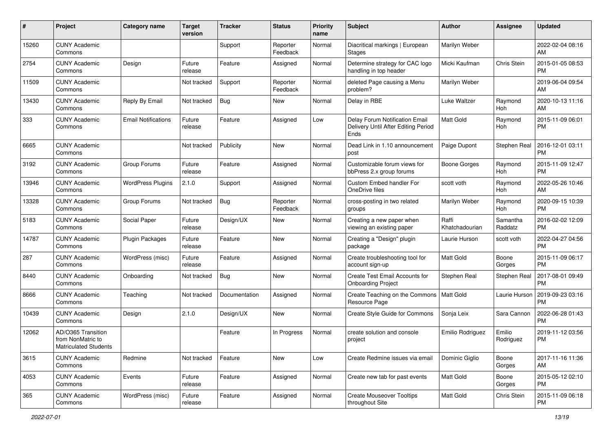| #     | Project                                                          | <b>Category name</b>       | Target<br>version | <b>Tracker</b> | <b>Status</b>        | <b>Priority</b><br>name | <b>Subject</b>                                                                | <b>Author</b>           | <b>Assignee</b>     | <b>Updated</b>                |
|-------|------------------------------------------------------------------|----------------------------|-------------------|----------------|----------------------|-------------------------|-------------------------------------------------------------------------------|-------------------------|---------------------|-------------------------------|
| 15260 | <b>CUNY Academic</b><br>Commons                                  |                            |                   | Support        | Reporter<br>Feedback | Normal                  | Diacritical markings   European<br>Stages                                     | Marilyn Weber           |                     | 2022-02-04 08:16<br>AM        |
| 2754  | <b>CUNY Academic</b><br>Commons                                  | Design                     | Future<br>release | Feature        | Assigned             | Normal                  | Determine strategy for CAC logo<br>handling in top header                     | Micki Kaufman           | Chris Stein         | 2015-01-05 08:53<br><b>PM</b> |
| 11509 | <b>CUNY Academic</b><br>Commons                                  |                            | Not tracked       | Support        | Reporter<br>Feedback | Normal                  | deleted Page causing a Menu<br>problem?                                       | Marilyn Weber           |                     | 2019-06-04 09:54<br>AM        |
| 13430 | <b>CUNY Academic</b><br>Commons                                  | Reply By Email             | Not tracked       | Bug            | New                  | Normal                  | Delay in RBE                                                                  | Luke Waltzer            | Raymond<br>Hoh      | 2020-10-13 11:16<br>AM        |
| 333   | <b>CUNY Academic</b><br>Commons                                  | <b>Email Notifications</b> | Future<br>release | Feature        | Assigned             | Low                     | Delay Forum Notification Email<br>Delivery Until After Editing Period<br>Ends | <b>Matt Gold</b>        | Raymond<br>Hoh      | 2015-11-09 06:01<br><b>PM</b> |
| 6665  | <b>CUNY Academic</b><br>Commons                                  |                            | Not tracked       | Publicity      | New                  | Normal                  | Dead Link in 1.10 announcement<br>post                                        | Paige Dupont            | Stephen Real        | 2016-12-01 03:11<br><b>PM</b> |
| 3192  | <b>CUNY Academic</b><br>Commons                                  | Group Forums               | Future<br>release | Feature        | Assigned             | Normal                  | Customizable forum views for<br>bbPress 2.x group forums                      | Boone Gorges            | Raymond<br>Hoh      | 2015-11-09 12:47<br><b>PM</b> |
| 13946 | <b>CUNY Academic</b><br>Commons                                  | <b>WordPress Plugins</b>   | 2.1.0             | Support        | Assigned             | Normal                  | Custom Embed handler For<br>OneDrive files                                    | scott voth              | Raymond<br>Hoh      | 2022-05-26 10:46<br>AM        |
| 13328 | <b>CUNY Academic</b><br>Commons                                  | Group Forums               | Not tracked       | Bug            | Reporter<br>Feedback | Normal                  | cross-posting in two related<br>groups                                        | Marilyn Weber           | Raymond<br>Hoh      | 2020-09-15 10:39<br><b>PM</b> |
| 5183  | <b>CUNY Academic</b><br>Commons                                  | Social Paper               | Future<br>release | Design/UX      | New                  | Normal                  | Creating a new paper when<br>viewing an existing paper                        | Raffi<br>Khatchadourian | Samantha<br>Raddatz | 2016-02-02 12:09<br><b>PM</b> |
| 14787 | <b>CUNY Academic</b><br>Commons                                  | Plugin Packages            | Future<br>release | Feature        | New                  | Normal                  | Creating a "Design" plugin<br>package                                         | Laurie Hurson           | scott voth          | 2022-04-27 04:56<br><b>PM</b> |
| 287   | <b>CUNY Academic</b><br>Commons                                  | WordPress (misc)           | Future<br>release | Feature        | Assigned             | Normal                  | Create troubleshooting tool for<br>account sign-up                            | Matt Gold               | Boone<br>Gorges     | 2015-11-09 06:17<br><b>PM</b> |
| 8440  | <b>CUNY Academic</b><br>Commons                                  | Onboarding                 | Not tracked       | Bug            | <b>New</b>           | Normal                  | Create Test Email Accounts for<br><b>Onboarding Project</b>                   | Stephen Real            | Stephen Real        | 2017-08-01 09:49<br><b>PM</b> |
| 8666  | <b>CUNY Academic</b><br>Commons                                  | Teaching                   | Not tracked       | Documentation  | Assigned             | Normal                  | Create Teaching on the Commons<br>Resource Page                               | Matt Gold               | Laurie Hurson       | 2019-09-23 03:16<br><b>PM</b> |
| 10439 | <b>CUNY Academic</b><br>Commons                                  | Design                     | 2.1.0             | Design/UX      | New                  | Normal                  | Create Style Guide for Commons                                                | Sonja Leix              | Sara Cannon         | 2022-06-28 01:43<br><b>PM</b> |
| 12062 | AD/O365 Transition<br>from NonMatric to<br>Matriculated Students |                            |                   | Feature        | In Progress          | Normal                  | create solution and console<br>project                                        | Emilio Rodriguez        | Emilio<br>Rodriguez | 2019-11-12 03:56<br><b>PM</b> |
| 3615  | <b>CUNY Academic</b><br>Commons                                  | Redmine                    | Not tracked       | Feature        | New                  | Low                     | Create Redmine issues via email                                               | Dominic Giglio          | Boone<br>Gorges     | 2017-11-16 11:36<br>AM        |
| 4053  | <b>CUNY Academic</b><br>Commons                                  | Events                     | Future<br>release | Feature        | Assigned             | Normal                  | Create new tab for past events                                                | Matt Gold               | Boone<br>Gorges     | 2015-05-12 02:10<br><b>PM</b> |
| 365   | <b>CUNY Academic</b><br>Commons                                  | WordPress (misc)           | Future<br>release | Feature        | Assigned             | Normal                  | <b>Create Mouseover Tooltips</b><br>throughout Site                           | Matt Gold               | Chris Stein         | 2015-11-09 06:18<br>PM        |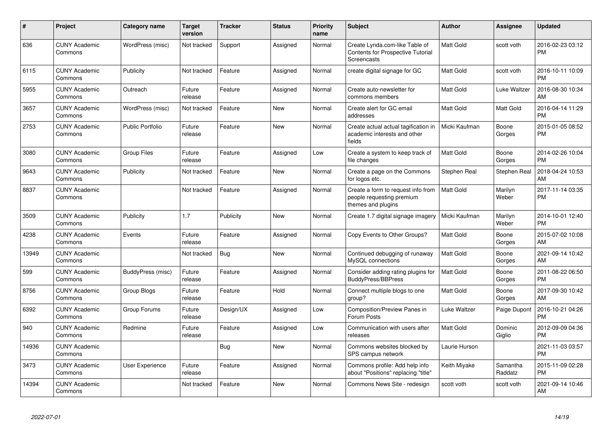| #     | Project                         | <b>Category name</b>    | <b>Target</b><br>version | <b>Tracker</b> | <b>Status</b> | <b>Priority</b><br>name | <b>Subject</b>                                                                            | <b>Author</b>    | Assignee            | <b>Updated</b>                |
|-------|---------------------------------|-------------------------|--------------------------|----------------|---------------|-------------------------|-------------------------------------------------------------------------------------------|------------------|---------------------|-------------------------------|
| 636   | <b>CUNY Academic</b><br>Commons | WordPress (misc)        | Not tracked              | Support        | Assigned      | Normal                  | Create Lynda.com-like Table of<br><b>Contents for Prospective Tutorial</b><br>Screencasts | <b>Matt Gold</b> | scott voth          | 2016-02-23 03:12<br><b>PM</b> |
| 6115  | <b>CUNY Academic</b><br>Commons | Publicity               | Not tracked              | Feature        | Assigned      | Normal                  | create digital signage for GC                                                             | <b>Matt Gold</b> | scott voth          | 2016-10-11 10:09<br><b>PM</b> |
| 5955  | <b>CUNY Academic</b><br>Commons | Outreach                | Future<br>release        | Feature        | Assigned      | Normal                  | Create auto-newsletter for<br>commons members                                             | <b>Matt Gold</b> | Luke Waltzer        | 2016-08-30 10:34<br>AM        |
| 3657  | <b>CUNY Academic</b><br>Commons | WordPress (misc)        | Not tracked              | Feature        | New           | Normal                  | Create alert for GC email<br>addresses                                                    | <b>Matt Gold</b> | Matt Gold           | 2016-04-14 11:29<br><b>PM</b> |
| 2753  | <b>CUNY Academic</b><br>Commons | <b>Public Portfolio</b> | Future<br>release        | Feature        | New           | Normal                  | Create actual actual tagification in<br>academic interests and other<br>fields            | Micki Kaufman    | Boone<br>Gorges     | 2015-01-05 08:52<br><b>PM</b> |
| 3080  | <b>CUNY Academic</b><br>Commons | <b>Group Files</b>      | Future<br>release        | Feature        | Assigned      | Low                     | Create a system to keep track of<br>file changes                                          | <b>Matt Gold</b> | Boone<br>Gorges     | 2014-02-26 10:04<br><b>PM</b> |
| 9643  | <b>CUNY Academic</b><br>Commons | Publicity               | Not tracked              | Feature        | <b>New</b>    | Normal                  | Create a page on the Commons<br>for logos etc.                                            | Stephen Real     | Stephen Real        | 2018-04-24 10:53<br>AM        |
| 8837  | <b>CUNY Academic</b><br>Commons |                         | Not tracked              | Feature        | Assigned      | Normal                  | Create a form to request info from<br>people requesting premium<br>themes and plugins     | <b>Matt Gold</b> | Marilyn<br>Weber    | 2017-11-14 03:35<br><b>PM</b> |
| 3509  | <b>CUNY Academic</b><br>Commons | Publicity               | 1.7                      | Publicity      | <b>New</b>    | Normal                  | Create 1.7 digital signage imagery                                                        | Micki Kaufman    | Marilyn<br>Weber    | 2014-10-01 12:40<br><b>PM</b> |
| 4238  | <b>CUNY Academic</b><br>Commons | Events                  | Future<br>release        | Feature        | Assigned      | Normal                  | Copy Events to Other Groups?                                                              | Matt Gold        | Boone<br>Gorges     | 2015-07-02 10:08<br>AM        |
| 13949 | <b>CUNY Academic</b><br>Commons |                         | Not tracked              | Bug            | <b>New</b>    | Normal                  | Continued debugging of runaway<br>MySQL connections                                       | <b>Matt Gold</b> | Boone<br>Gorges     | 2021-09-14 10:42<br>AM        |
| 599   | <b>CUNY Academic</b><br>Commons | BuddyPress (misc)       | Future<br>release        | Feature        | Assigned      | Normal                  | Consider adding rating plugins for<br><b>BuddyPress/BBPress</b>                           | <b>Matt Gold</b> | Boone<br>Gorges     | 2011-08-22 06:50<br><b>PM</b> |
| 8756  | <b>CUNY Academic</b><br>Commons | Group Blogs             | Future<br>release        | Feature        | Hold          | Normal                  | Connect multiple blogs to one<br>group?                                                   | <b>Matt Gold</b> | Boone<br>Gorges     | 2017-09-30 10:42<br>AM        |
| 6392  | <b>CUNY Academic</b><br>Commons | Group Forums            | Future<br>release        | Design/UX      | Assigned      | Low                     | Composition/Preview Panes in<br>Forum Posts                                               | Luke Waltzer     | Paige Dupont        | 2016-10-21 04:26<br><b>PM</b> |
| 940   | <b>CUNY Academic</b><br>Commons | Redmine                 | Future<br>release        | Feature        | Assigned      | Low                     | Communication with users after<br>releases                                                | <b>Matt Gold</b> | Dominic<br>Giglio   | 2012-09-09 04:36<br><b>PM</b> |
| 14936 | <b>CUNY Academic</b><br>Commons |                         |                          | Bug            | <b>New</b>    | Normal                  | Commons websites blocked by<br>SPS campus network                                         | Laurie Hurson    |                     | 2021-11-03 03:57<br><b>PM</b> |
| 3473  | <b>CUNY Academic</b><br>Commons | <b>User Experience</b>  | Future<br>release        | Feature        | Assigned      | Normal                  | Commons profile: Add help info<br>about "Positions" replacing "title"                     | Keith Miyake     | Samantha<br>Raddatz | 2015-11-09 02:28<br><b>PM</b> |
| 14394 | <b>CUNY Academic</b><br>Commons |                         | Not tracked              | Feature        | <b>New</b>    | Normal                  | Commons News Site - redesign                                                              | scott voth       | scott voth          | 2021-09-14 10:46<br>AM        |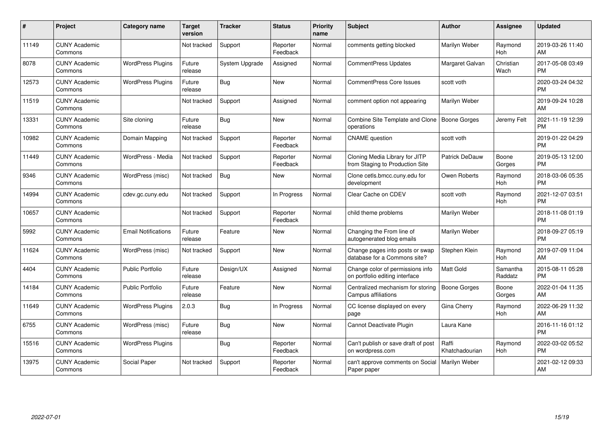| #     | <b>Project</b>                  | Category name              | <b>Target</b><br>version | <b>Tracker</b> | <b>Status</b>        | Priority<br>name | <b>Subject</b>                                                     | <b>Author</b>           | Assignee            | <b>Updated</b>                |
|-------|---------------------------------|----------------------------|--------------------------|----------------|----------------------|------------------|--------------------------------------------------------------------|-------------------------|---------------------|-------------------------------|
| 11149 | <b>CUNY Academic</b><br>Commons |                            | Not tracked              | Support        | Reporter<br>Feedback | Normal           | comments getting blocked                                           | Marilyn Weber           | Raymond<br>Hoh      | 2019-03-26 11:40<br>AM        |
| 8078  | <b>CUNY Academic</b><br>Commons | <b>WordPress Plugins</b>   | Future<br>release        | System Upgrade | Assigned             | Normal           | <b>CommentPress Updates</b>                                        | Margaret Galvan         | Christian<br>Wach   | 2017-05-08 03:49<br><b>PM</b> |
| 12573 | <b>CUNY Academic</b><br>Commons | <b>WordPress Plugins</b>   | Future<br>release        | Bug            | New                  | Normal           | <b>CommentPress Core Issues</b>                                    | scott voth              |                     | 2020-03-24 04:32<br><b>PM</b> |
| 11519 | <b>CUNY Academic</b><br>Commons |                            | Not tracked              | Support        | Assigned             | Normal           | comment option not appearing                                       | Marilyn Weber           |                     | 2019-09-24 10:28<br>AM        |
| 13331 | <b>CUNY Academic</b><br>Commons | Site cloning               | Future<br>release        | Bug            | <b>New</b>           | Normal           | Combine Site Template and Clone<br>operations                      | Boone Gorges            | Jeremy Felt         | 2021-11-19 12:39<br><b>PM</b> |
| 10982 | <b>CUNY Academic</b><br>Commons | Domain Mapping             | Not tracked              | Support        | Reporter<br>Feedback | Normal           | <b>CNAME</b> question                                              | scott voth              |                     | 2019-01-22 04:29<br><b>PM</b> |
| 11449 | <b>CUNY Academic</b><br>Commons | WordPress - Media          | Not tracked              | Support        | Reporter<br>Feedback | Normal           | Cloning Media Library for JITP<br>from Staging to Production Site  | Patrick DeDauw          | Boone<br>Gorges     | 2019-05-13 12:00<br><b>PM</b> |
| 9346  | <b>CUNY Academic</b><br>Commons | WordPress (misc)           | Not tracked              | Bug            | New                  | Normal           | Clone cetls.bmcc.cuny.edu for<br>development                       | Owen Roberts            | Raymond<br>Hoh      | 2018-03-06 05:35<br><b>PM</b> |
| 14994 | <b>CUNY Academic</b><br>Commons | cdev.gc.cuny.edu           | Not tracked              | Support        | In Progress          | Normal           | Clear Cache on CDEV                                                | scott voth              | Raymond<br>Hoh      | 2021-12-07 03:51<br><b>PM</b> |
| 10657 | <b>CUNY Academic</b><br>Commons |                            | Not tracked              | Support        | Reporter<br>Feedback | Normal           | child theme problems                                               | Marilyn Weber           |                     | 2018-11-08 01:19<br><b>PM</b> |
| 5992  | <b>CUNY Academic</b><br>Commons | <b>Email Notifications</b> | Future<br>release        | Feature        | New                  | Normal           | Changing the From line of<br>autogenerated blog emails             | Marilyn Weber           |                     | 2018-09-27 05:19<br><b>PM</b> |
| 11624 | <b>CUNY Academic</b><br>Commons | WordPress (misc)           | Not tracked              | Support        | <b>New</b>           | Normal           | Change pages into posts or swap<br>database for a Commons site?    | Stephen Klein           | Raymond<br>Hoh      | 2019-07-09 11:04<br>AM        |
| 4404  | <b>CUNY Academic</b><br>Commons | <b>Public Portfolio</b>    | Future<br>release        | Design/UX      | Assigned             | Normal           | Change color of permissions info<br>on portfolio editing interface | <b>Matt Gold</b>        | Samantha<br>Raddatz | 2015-08-11 05:28<br><b>PM</b> |
| 14184 | <b>CUNY Academic</b><br>Commons | <b>Public Portfolio</b>    | Future<br>release        | Feature        | <b>New</b>           | Normal           | Centralized mechanism for storing<br>Campus affiliations           | Boone Gorges            | Boone<br>Gorges     | 2022-01-04 11:35<br>AM        |
| 11649 | <b>CUNY Academic</b><br>Commons | <b>WordPress Plugins</b>   | 2.0.3                    | Bug            | In Progress          | Normal           | CC license displayed on every<br>page                              | Gina Cherry             | Raymond<br>Hoh      | 2022-06-29 11:32<br>AM        |
| 6755  | <b>CUNY Academic</b><br>Commons | WordPress (misc)           | Future<br>release        | Bug            | <b>New</b>           | Normal           | Cannot Deactivate Plugin                                           | Laura Kane              |                     | 2016-11-16 01:12<br><b>PM</b> |
| 15516 | <b>CUNY Academic</b><br>Commons | <b>WordPress Plugins</b>   |                          | Bug            | Reporter<br>Feedback | Normal           | Can't publish or save draft of post<br>on wordpress.com            | Raffi<br>Khatchadourian | Raymond<br>Hoh      | 2022-03-02 05:52<br><b>PM</b> |
| 13975 | <b>CUNY Academic</b><br>Commons | Social Paper               | Not tracked              | Support        | Reporter<br>Feedback | Normal           | can't approve comments on Social<br>Paper paper                    | Marilyn Weber           |                     | 2021-02-12 09:33<br>AM        |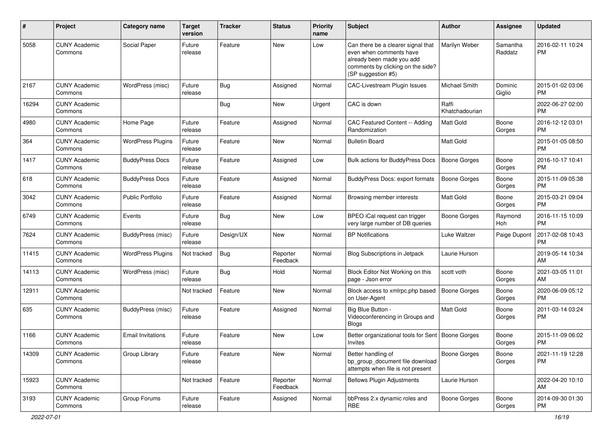| #     | Project                         | Category name            | <b>Target</b><br>version | Tracker    | <b>Status</b>        | <b>Priority</b><br>name | <b>Subject</b>                                                                                                                                        | Author                  | Assignee            | <b>Updated</b>                |
|-------|---------------------------------|--------------------------|--------------------------|------------|----------------------|-------------------------|-------------------------------------------------------------------------------------------------------------------------------------------------------|-------------------------|---------------------|-------------------------------|
| 5058  | <b>CUNY Academic</b><br>Commons | Social Paper             | Future<br>release        | Feature    | New                  | Low                     | Can there be a clearer signal that<br>even when comments have<br>already been made you add<br>comments by clicking on the side?<br>(SP suggestion #5) | Marilyn Weber           | Samantha<br>Raddatz | 2016-02-11 10:24<br><b>PM</b> |
| 2167  | <b>CUNY Academic</b><br>Commons | WordPress (misc)         | Future<br>release        | <b>Bug</b> | Assigned             | Normal                  | <b>CAC-Livestream Plugin Issues</b>                                                                                                                   | <b>Michael Smith</b>    | Dominic<br>Giglio   | 2015-01-02 03:06<br><b>PM</b> |
| 16294 | <b>CUNY Academic</b><br>Commons |                          |                          | <b>Bug</b> | New                  | Urgent                  | CAC is down                                                                                                                                           | Raffi<br>Khatchadourian |                     | 2022-06-27 02:00<br><b>PM</b> |
| 4980  | <b>CUNY Academic</b><br>Commons | Home Page                | Future<br>release        | Feature    | Assigned             | Normal                  | CAC Featured Content -- Adding<br>Randomization                                                                                                       | <b>Matt Gold</b>        | Boone<br>Gorges     | 2016-12-12 03:01<br><b>PM</b> |
| 364   | <b>CUNY Academic</b><br>Commons | <b>WordPress Plugins</b> | Future<br>release        | Feature    | New                  | Normal                  | <b>Bulletin Board</b>                                                                                                                                 | <b>Matt Gold</b>        |                     | 2015-01-05 08:50<br><b>PM</b> |
| 1417  | <b>CUNY Academic</b><br>Commons | <b>BuddyPress Docs</b>   | Future<br>release        | Feature    | Assigned             | Low                     | Bulk actions for BuddyPress Docs                                                                                                                      | <b>Boone Gorges</b>     | Boone<br>Gorges     | 2016-10-17 10:41<br><b>PM</b> |
| 618   | <b>CUNY Academic</b><br>Commons | <b>BuddyPress Docs</b>   | Future<br>release        | Feature    | Assigned             | Normal                  | <b>BuddyPress Docs: export formats</b>                                                                                                                | <b>Boone Gorges</b>     | Boone<br>Gorges     | 2015-11-09 05:38<br><b>PM</b> |
| 3042  | <b>CUNY Academic</b><br>Commons | Public Portfolio         | Future<br>release        | Feature    | Assigned             | Normal                  | Browsing member interests                                                                                                                             | <b>Matt Gold</b>        | Boone<br>Gorges     | 2015-03-21 09:04<br><b>PM</b> |
| 6749  | <b>CUNY Academic</b><br>Commons | Events                   | Future<br>release        | Bug        | New                  | Low                     | BPEO iCal request can trigger<br>very large number of DB queries                                                                                      | <b>Boone Gorges</b>     | Raymond<br>Hoh      | 2016-11-15 10:09<br><b>PM</b> |
| 7624  | <b>CUNY Academic</b><br>Commons | <b>BuddyPress (misc)</b> | Future<br>release        | Design/UX  | New                  | Normal                  | <b>BP</b> Notifications                                                                                                                               | Luke Waltzer            | Paige Dupont        | 2017-02-08 10:43<br><b>PM</b> |
| 11415 | <b>CUNY Academic</b><br>Commons | <b>WordPress Plugins</b> | Not tracked              | Bug        | Reporter<br>Feedback | Normal                  | Blog Subscriptions in Jetpack                                                                                                                         | Laurie Hurson           |                     | 2019-05-14 10:34<br>AM        |
| 14113 | <b>CUNY Academic</b><br>Commons | WordPress (misc)         | Future<br>release        | <b>Bug</b> | Hold                 | Normal                  | Block Editor Not Working on this<br>page - Json error                                                                                                 | scott voth              | Boone<br>Gorges     | 2021-03-05 11:01<br>AM        |
| 12911 | <b>CUNY Academic</b><br>Commons |                          | Not tracked              | Feature    | New                  | Normal                  | Block access to xmlrpc.php based<br>on User-Agent                                                                                                     | <b>Boone Gorges</b>     | Boone<br>Gorges     | 2020-06-09 05:12<br><b>PM</b> |
| 635   | <b>CUNY Academic</b><br>Commons | BuddyPress (misc)        | Future<br>release        | Feature    | Assigned             | Normal                  | Big Blue Button -<br>Videoconferencing in Groups and<br><b>Blogs</b>                                                                                  | Matt Gold               | Boone<br>Gorges     | 2011-03-14 03:24<br><b>PM</b> |
| 1166  | <b>CUNY Academic</b><br>Commons | <b>Email Invitations</b> | Future<br>release        | Feature    | <b>New</b>           | Low                     | Better organizational tools for Sent<br>Invites                                                                                                       | Boone Gorges            | Boone<br>Gorges     | 2015-11-09 06:02<br><b>PM</b> |
| 14309 | <b>CUNY Academic</b><br>Commons | Group Library            | Future<br>release        | Feature    | New                  | Normal                  | Better handling of<br>bp_group_document file download<br>attempts when file is not present                                                            | <b>Boone Gorges</b>     | Boone<br>Gorges     | 2021-11-19 12:28<br><b>PM</b> |
| 15923 | <b>CUNY Academic</b><br>Commons |                          | Not tracked              | Feature    | Reporter<br>Feedback | Normal                  | <b>Bellows Plugin Adjustments</b>                                                                                                                     | Laurie Hurson           |                     | 2022-04-20 10:10<br>AM        |
| 3193  | <b>CUNY Academic</b><br>Commons | Group Forums             | Future<br>release        | Feature    | Assigned             | Normal                  | bbPress 2.x dynamic roles and<br><b>RBE</b>                                                                                                           | Boone Gorges            | Boone<br>Gorges     | 2014-09-30 01:30<br>PM        |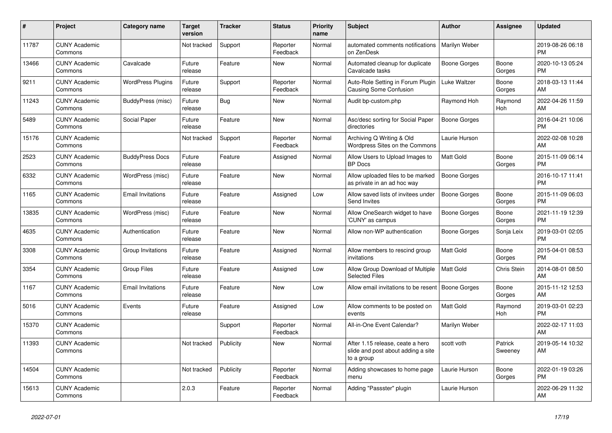| #     | Project                         | Category name            | <b>Target</b><br>version | Tracker    | <b>Status</b>        | <b>Priority</b><br>name | <b>Subject</b>                                                                       | <b>Author</b>    | Assignee           | <b>Updated</b>                |
|-------|---------------------------------|--------------------------|--------------------------|------------|----------------------|-------------------------|--------------------------------------------------------------------------------------|------------------|--------------------|-------------------------------|
| 11787 | <b>CUNY Academic</b><br>Commons |                          | Not tracked              | Support    | Reporter<br>Feedback | Normal                  | automated comments notifications<br>on ZenDesk                                       | Marilyn Weber    |                    | 2019-08-26 06:18<br><b>PM</b> |
| 13466 | <b>CUNY Academic</b><br>Commons | Cavalcade                | Future<br>release        | Feature    | <b>New</b>           | Normal                  | Automated cleanup for duplicate<br>Cavalcade tasks                                   | Boone Gorges     | Boone<br>Gorges    | 2020-10-13 05:24<br><b>PM</b> |
| 9211  | <b>CUNY Academic</b><br>Commons | <b>WordPress Plugins</b> | Future<br>release        | Support    | Reporter<br>Feedback | Normal                  | Auto-Role Setting in Forum Plugin<br><b>Causing Some Confusion</b>                   | Luke Waltzer     | Boone<br>Gorges    | 2018-03-13 11:44<br>AM        |
| 11243 | <b>CUNY Academic</b><br>Commons | BuddyPress (misc)        | Future<br>release        | <b>Bug</b> | New                  | Normal                  | Audit bp-custom.php                                                                  | Raymond Hoh      | Raymond<br>Hoh     | 2022-04-26 11:59<br>AM        |
| 5489  | <b>CUNY Academic</b><br>Commons | Social Paper             | Future<br>release        | Feature    | New                  | Normal                  | Asc/desc sorting for Social Paper<br>directories                                     | Boone Gorges     |                    | 2016-04-21 10:06<br><b>PM</b> |
| 15176 | <b>CUNY Academic</b><br>Commons |                          | Not tracked              | Support    | Reporter<br>Feedback | Normal                  | Archiving Q Writing & Old<br>Wordpress Sites on the Commons                          | Laurie Hurson    |                    | 2022-02-08 10:28<br>AM        |
| 2523  | <b>CUNY Academic</b><br>Commons | <b>BuddyPress Docs</b>   | Future<br>release        | Feature    | Assigned             | Normal                  | Allow Users to Upload Images to<br><b>BP</b> Docs                                    | Matt Gold        | Boone<br>Gorges    | 2015-11-09 06:14<br><b>PM</b> |
| 6332  | <b>CUNY Academic</b><br>Commons | WordPress (misc)         | Future<br>release        | Feature    | <b>New</b>           | Normal                  | Allow uploaded files to be marked<br>as private in an ad hoc way                     | Boone Gorges     |                    | 2016-10-17 11:41<br><b>PM</b> |
| 1165  | <b>CUNY Academic</b><br>Commons | <b>Email Invitations</b> | Future<br>release        | Feature    | Assigned             | Low                     | Allow saved lists of invitees under<br><b>Send Invites</b>                           | Boone Gorges     | Boone<br>Gorges    | 2015-11-09 06:03<br><b>PM</b> |
| 13835 | <b>CUNY Academic</b><br>Commons | WordPress (misc)         | Future<br>release        | Feature    | New                  | Normal                  | Allow OneSearch widget to have<br>'CUNY' as campus                                   | Boone Gorges     | Boone<br>Gorges    | 2021-11-19 12:39<br><b>PM</b> |
| 4635  | <b>CUNY Academic</b><br>Commons | Authentication           | Future<br>release        | Feature    | <b>New</b>           | Normal                  | Allow non-WP authentication                                                          | Boone Gorges     | Sonja Leix         | 2019-03-01 02:05<br><b>PM</b> |
| 3308  | <b>CUNY Academic</b><br>Commons | Group Invitations        | Future<br>release        | Feature    | Assigned             | Normal                  | Allow members to rescind group<br>invitations                                        | <b>Matt Gold</b> | Boone<br>Gorges    | 2015-04-01 08:53<br><b>PM</b> |
| 3354  | <b>CUNY Academic</b><br>Commons | <b>Group Files</b>       | Future<br>release        | Feature    | Assigned             | Low                     | Allow Group Download of Multiple<br><b>Selected Files</b>                            | <b>Matt Gold</b> | Chris Stein        | 2014-08-01 08:50<br>AM        |
| 1167  | <b>CUNY Academic</b><br>Commons | <b>Email Invitations</b> | Future<br>release        | Feature    | <b>New</b>           | Low                     | Allow email invitations to be resent                                                 | Boone Gorges     | Boone<br>Gorges    | 2015-11-12 12:53<br>AM        |
| 5016  | <b>CUNY Academic</b><br>Commons | Events                   | Future<br>release        | Feature    | Assigned             | Low                     | Allow comments to be posted on<br>events                                             | <b>Matt Gold</b> | Raymond<br>Hoh     | 2019-03-01 02:23<br><b>PM</b> |
| 15370 | <b>CUNY Academic</b><br>Commons |                          |                          | Support    | Reporter<br>Feedback | Normal                  | All-in-One Event Calendar?                                                           | Marilyn Weber    |                    | 2022-02-17 11:03<br>AM        |
| 11393 | <b>CUNY Academic</b><br>Commons |                          | Not tracked              | Publicity  | <b>New</b>           | Normal                  | After 1.15 release, ceate a hero<br>slide and post about adding a site<br>to a group | scott voth       | Patrick<br>Sweeney | 2019-05-14 10:32<br>AM        |
| 14504 | <b>CUNY Academic</b><br>Commons |                          | Not tracked              | Publicity  | Reporter<br>Feedback | Normal                  | Adding showcases to home page<br>menu                                                | Laurie Hurson    | Boone<br>Gorges    | 2022-01-19 03:26<br><b>PM</b> |
| 15613 | <b>CUNY Academic</b><br>Commons |                          | 2.0.3                    | Feature    | Reporter<br>Feedback | Normal                  | Adding "Passster" plugin                                                             | Laurie Hurson    |                    | 2022-06-29 11:32<br>AM        |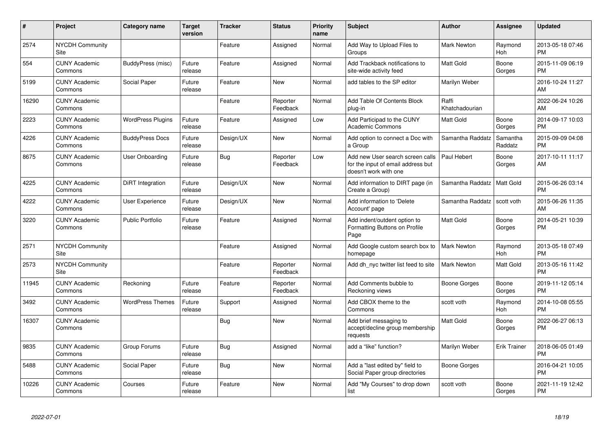| $\pmb{\sharp}$ | Project                         | <b>Category name</b>     | <b>Target</b><br>version | <b>Tracker</b> | <b>Status</b>        | <b>Priority</b><br>name | <b>Subject</b>                                                                                  | <b>Author</b>           | Assignee            | <b>Updated</b>                |
|----------------|---------------------------------|--------------------------|--------------------------|----------------|----------------------|-------------------------|-------------------------------------------------------------------------------------------------|-------------------------|---------------------|-------------------------------|
| 2574           | <b>NYCDH Community</b><br>Site  |                          |                          | Feature        | Assigned             | Normal                  | Add Way to Upload Files to<br>Groups                                                            | <b>Mark Newton</b>      | Raymond<br>Hoh      | 2013-05-18 07:46<br><b>PM</b> |
| 554            | <b>CUNY Academic</b><br>Commons | BuddyPress (misc)        | Future<br>release        | Feature        | Assigned             | Normal                  | Add Trackback notifications to<br>site-wide activity feed                                       | <b>Matt Gold</b>        | Boone<br>Gorges     | 2015-11-09 06:19<br><b>PM</b> |
| 5199           | <b>CUNY Academic</b><br>Commons | Social Paper             | Future<br>release        | Feature        | New                  | Normal                  | add tables to the SP editor                                                                     | Marilyn Weber           |                     | 2016-10-24 11:27<br>AM        |
| 16290          | <b>CUNY Academic</b><br>Commons |                          |                          | Feature        | Reporter<br>Feedback | Normal                  | Add Table Of Contents Block<br>plug-in                                                          | Raffi<br>Khatchadourian |                     | 2022-06-24 10:26<br>AM        |
| 2223           | <b>CUNY Academic</b><br>Commons | <b>WordPress Plugins</b> | Future<br>release        | Feature        | Assigned             | Low                     | Add Participad to the CUNY<br><b>Academic Commons</b>                                           | <b>Matt Gold</b>        | Boone<br>Gorges     | 2014-09-17 10:03<br><b>PM</b> |
| 4226           | <b>CUNY Academic</b><br>Commons | <b>BuddyPress Docs</b>   | Future<br>release        | Design/UX      | <b>New</b>           | Normal                  | Add option to connect a Doc with<br>a Group                                                     | Samantha Raddatz        | Samantha<br>Raddatz | 2015-09-09 04:08<br><b>PM</b> |
| 8675           | <b>CUNY Academic</b><br>Commons | <b>User Onboarding</b>   | Future<br>release        | Bug            | Reporter<br>Feedback | Low                     | Add new User search screen calls<br>for the input of email address but<br>doesn't work with one | Paul Hebert             | Boone<br>Gorges     | 2017-10-11 11:17<br>AM        |
| 4225           | <b>CUNY Academic</b><br>Commons | DiRT Integration         | Future<br>release        | Design/UX      | <b>New</b>           | Normal                  | Add information to DIRT page (in<br>Create a Group)                                             | Samantha Raddatz        | Matt Gold           | 2015-06-26 03:14<br><b>PM</b> |
| 4222           | <b>CUNY Academic</b><br>Commons | <b>User Experience</b>   | Future<br>release        | Design/UX      | New                  | Normal                  | Add information to 'Delete<br>Account' page                                                     | Samantha Raddatz        | scott voth          | 2015-06-26 11:35<br>AM        |
| 3220           | <b>CUNY Academic</b><br>Commons | <b>Public Portfolio</b>  | Future<br>release        | Feature        | Assigned             | Normal                  | Add indent/outdent option to<br>Formatting Buttons on Profile<br>Page                           | <b>Matt Gold</b>        | Boone<br>Gorges     | 2014-05-21 10:39<br><b>PM</b> |
| 2571           | <b>NYCDH Community</b><br>Site  |                          |                          | Feature        | Assigned             | Normal                  | Add Google custom search box to<br>homepage                                                     | <b>Mark Newton</b>      | Raymond<br>Hoh      | 2013-05-18 07:49<br><b>PM</b> |
| 2573           | <b>NYCDH Community</b><br>Site  |                          |                          | Feature        | Reporter<br>Feedback | Normal                  | Add dh nyc twitter list feed to site                                                            | <b>Mark Newton</b>      | Matt Gold           | 2013-05-16 11:42<br><b>PM</b> |
| 11945          | <b>CUNY Academic</b><br>Commons | Reckoning                | Future<br>release        | Feature        | Reporter<br>Feedback | Normal                  | Add Comments bubble to<br>Reckoning views                                                       | Boone Gorges            | Boone<br>Gorges     | 2019-11-12 05:14<br><b>PM</b> |
| 3492           | <b>CUNY Academic</b><br>Commons | <b>WordPress Themes</b>  | Future<br>release        | Support        | Assigned             | Normal                  | Add CBOX theme to the<br>Commons                                                                | scott voth              | Raymond<br>Hoh      | 2014-10-08 05:55<br><b>PM</b> |
| 16307          | <b>CUNY Academic</b><br>Commons |                          |                          | Bug            | New                  | Normal                  | Add brief messaging to<br>accept/decline group membership<br>requests                           | <b>Matt Gold</b>        | Boone<br>Gorges     | 2022-06-27 06:13<br><b>PM</b> |
| 9835           | <b>CUNY Academic</b><br>Commons | Group Forums             | Future<br>release        | Bug            | Assigned             | Normal                  | add a "like" function?                                                                          | Marilyn Weber           | <b>Erik Trainer</b> | 2018-06-05 01:49<br><b>PM</b> |
| 5488           | <b>CUNY Academic</b><br>Commons | Social Paper             | Future<br>release        | Bug            | New                  | Normal                  | Add a "last edited by" field to<br>Social Paper group directories                               | Boone Gorges            |                     | 2016-04-21 10:05<br><b>PM</b> |
| 10226          | <b>CUNY Academic</b><br>Commons | Courses                  | Future<br>release        | Feature        | New                  | Normal                  | Add "My Courses" to drop down<br>list                                                           | scott voth              | Boone<br>Gorges     | 2021-11-19 12:42<br><b>PM</b> |